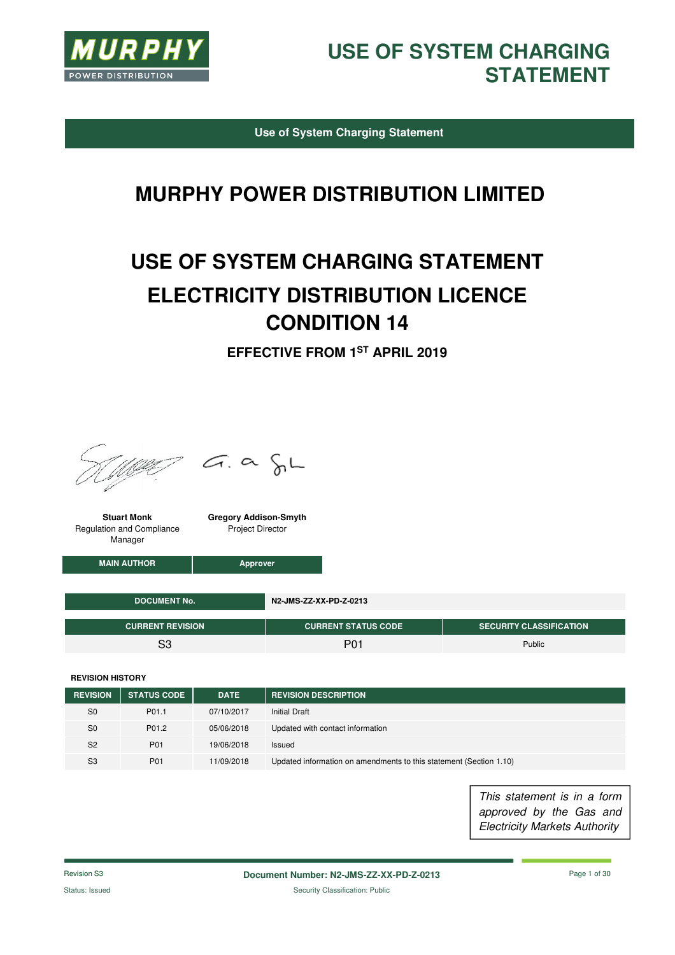

**Use of System Charging Statement** 

### **MURPHY POWER DISTRIBUTION LIMITED**

# **USE OF SYSTEM CHARGING STATEMENT ELECTRICITY DISTRIBUTION LICENCE CONDITION 14**

**EFFECTIVE FROM 1ST APRIL 2019** 



 $= G. \alpha \delta L$ 

**Stuart Monk**  Regulation and Compliance Manager

**Gregory Addison-Smyth**  Project Director

**MAIN AUTHOR Approver** 

| L DOCUMENT No. '        | N2-JMS-ZZ-XX-PD-Z-0213     |                                |
|-------------------------|----------------------------|--------------------------------|
| <b>CURRENT REVISION</b> | <b>CURRENT STATUS CODE</b> | <b>SECURITY CLASSIFICATION</b> |
| ິ                       | <b>P01</b>                 | Public                         |

**REVISION HISTORY**

| <b>REVISION</b> | <b>STATUS CODE</b> | <b>DATE</b> | <b>REVISION DESCRIPTION</b>                                        |
|-----------------|--------------------|-------------|--------------------------------------------------------------------|
| S <sub>0</sub>  | P01.1              | 07/10/2017  | <b>Initial Draft</b>                                               |
| S <sub>0</sub>  | P01.2              | 05/06/2018  | Updated with contact information                                   |
| S <sub>2</sub>  | P01                | 19/06/2018  | Issued                                                             |
| S <sub>3</sub>  | P01                | 11/09/2018  | Updated information on amendments to this statement (Section 1.10) |

This statement is in a form approved by the Gas and Electricity Markets Authority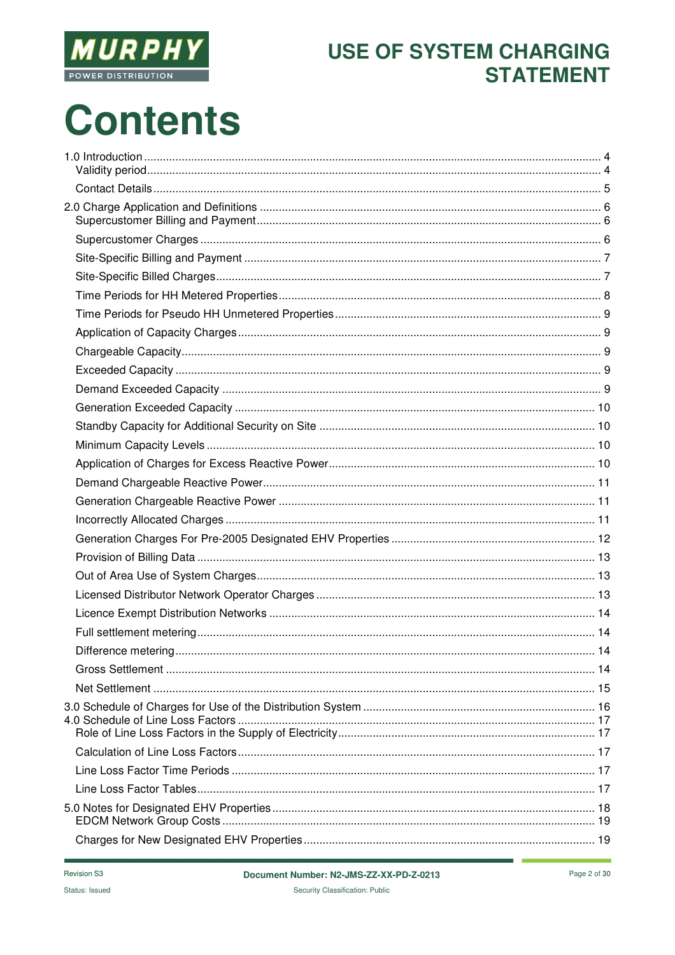

# **Contents**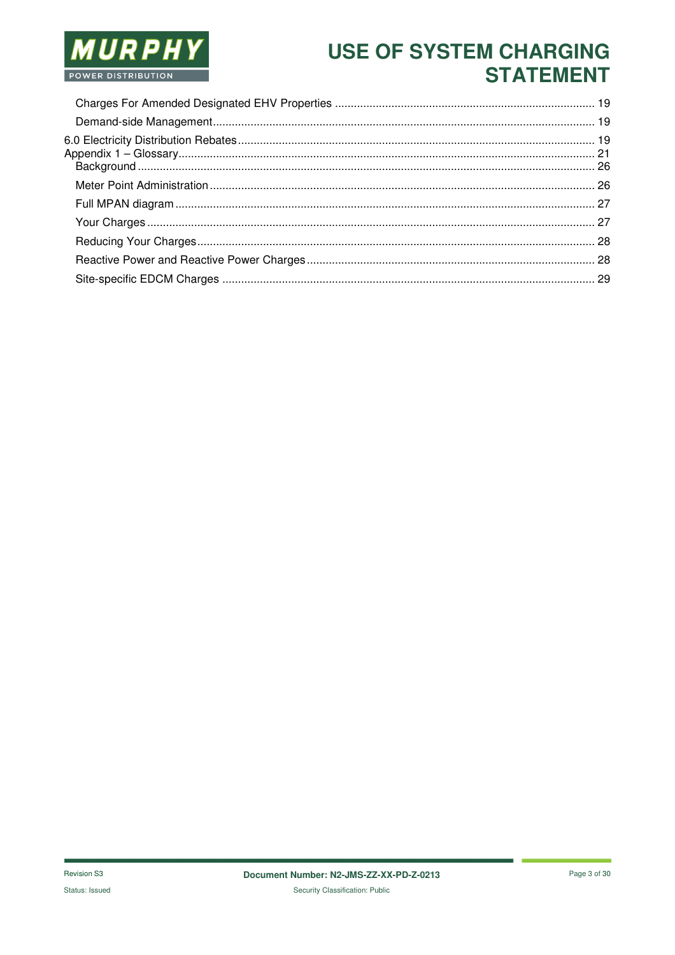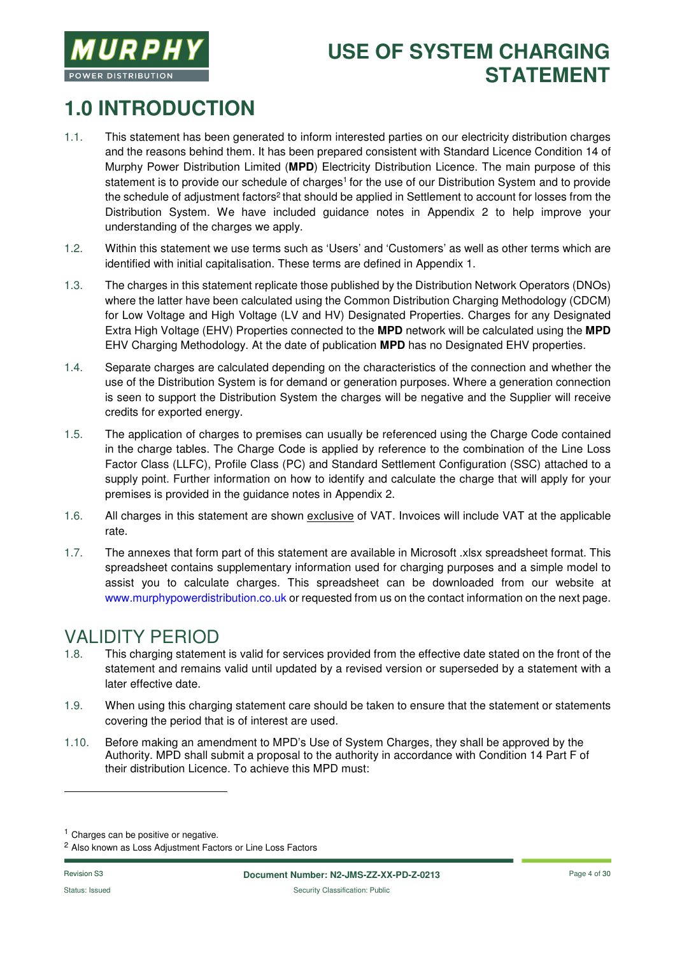

# **1.0 INTRODUCTION**

- 1.1. This statement has been generated to inform interested parties on our electricity distribution charges and the reasons behind them. It has been prepared consistent with Standard Licence Condition 14 of Murphy Power Distribution Limited (**MPD**) Electricity Distribution Licence. The main purpose of this statement is to provide our schedule of charges<sup>1</sup> for the use of our Distribution System and to provide the schedule of adjustment factors<sup>2</sup> that should be applied in Settlement to account for losses from the Distribution System. We have included guidance notes in Appendix 2 to help improve your understanding of the charges we apply.
- 1.2. Within this statement we use terms such as 'Users' and 'Customers' as well as other terms which are identified with initial capitalisation. These terms are defined in Appendix 1.
- 1.3. The charges in this statement replicate those published by the Distribution Network Operators (DNOs) where the latter have been calculated using the Common Distribution Charging Methodology (CDCM) for Low Voltage and High Voltage (LV and HV) Designated Properties. Charges for any Designated Extra High Voltage (EHV) Properties connected to the **MPD** network will be calculated using the **MPD** EHV Charging Methodology. At the date of publication **MPD** has no Designated EHV properties.
- 1.4. Separate charges are calculated depending on the characteristics of the connection and whether the use of the Distribution System is for demand or generation purposes. Where a generation connection is seen to support the Distribution System the charges will be negative and the Supplier will receive credits for exported energy.
- 1.5. The application of charges to premises can usually be referenced using the Charge Code contained in the charge tables. The Charge Code is applied by reference to the combination of the Line Loss Factor Class (LLFC), Profile Class (PC) and Standard Settlement Configuration (SSC) attached to a supply point. Further information on how to identify and calculate the charge that will apply for your premises is provided in the guidance notes in Appendix 2.
- 1.6. All charges in this statement are shown exclusive of VAT. Invoices will include VAT at the applicable rate.
- 1.7. The annexes that form part of this statement are available in Microsoft .xlsx spreadsheet format. This spreadsheet contains supplementary information used for charging purposes and a simple model to assist you to calculate charges. This spreadsheet can be downloaded from our website at www.murphypowerdistribution.co.uk or requested from us on the contact information on the next page.

# **VALIDITY PERIOD**<br>1.8. This charging statemer

- This charging statement is valid for services provided from the effective date stated on the front of the statement and remains valid until updated by a revised version or superseded by a statement with a later effective date.
- 1.9. When using this charging statement care should be taken to ensure that the statement or statements covering the period that is of interest are used.
- 1.10. Before making an amendment to MPD's Use of System Charges, they shall be approved by the Authority. MPD shall submit a proposal to the authority in accordance with Condition 14 Part F of their distribution Licence. To achieve this MPD must:

-

<sup>&</sup>lt;sup>1</sup> Charges can be positive or negative.

<sup>2</sup> Also known as Loss Adjustment Factors or Line Loss Factors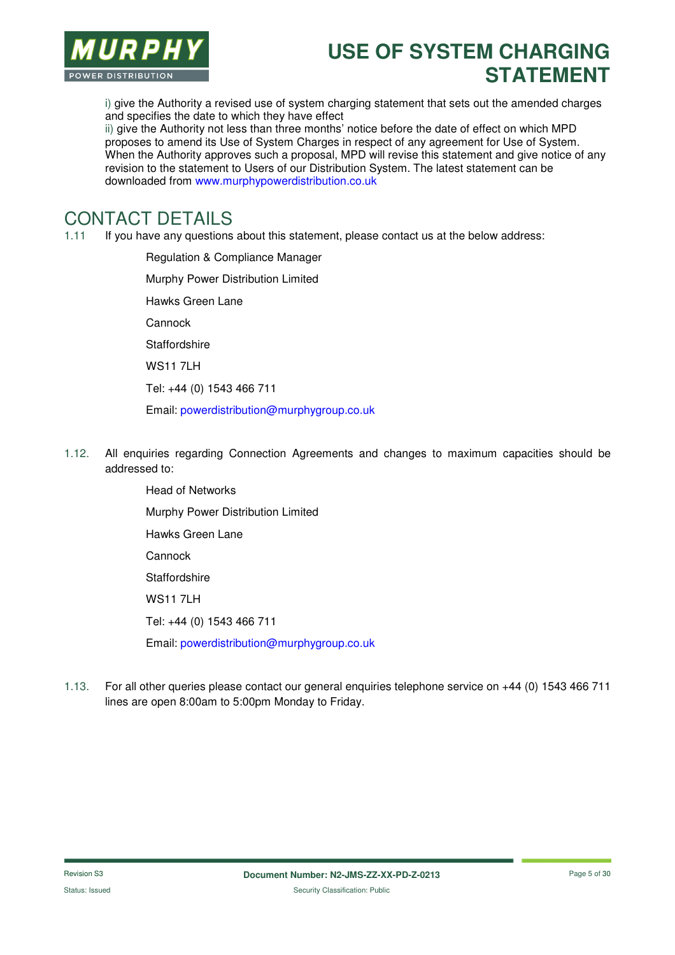

i) give the Authority a revised use of system charging statement that sets out the amended charges and specifies the date to which they have effect

ii) give the Authority not less than three months' notice before the date of effect on which MPD proposes to amend its Use of System Charges in respect of any agreement for Use of System. When the Authority approves such a proposal, MPD will revise this statement and give notice of any revision to the statement to Users of our Distribution System. The latest statement can be downloaded from www.murphypowerdistribution.co.uk

#### CONTACT DETAILS

1.11 If you have any questions about this statement, please contact us at the below address:

Regulation & Compliance Manager Murphy Power Distribution Limited Hawks Green Lane Cannock **Staffordshire** WS11 7LH Tel: +44 (0) 1543 466 711 Email: powerdistribution@murphygroup.co.uk

1.12. All enquiries regarding Connection Agreements and changes to maximum capacities should be addressed to:

> Head of Networks Murphy Power Distribution Limited Hawks Green Lane Cannock **Staffordshire** WS11 7LH Tel: +44 (0) 1543 466 711 Email: powerdistribution@murphygroup.co.uk

1.13. For all other queries please contact our general enquiries telephone service on +44 (0) 1543 466 711 lines are open 8:00am to 5:00pm Monday to Friday.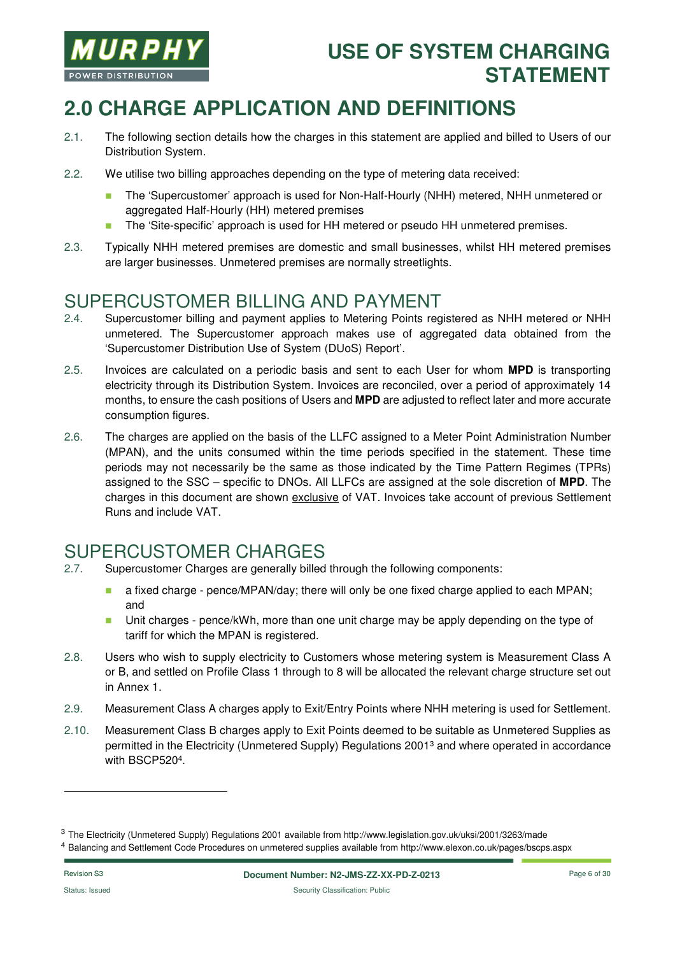

# **2.0 CHARGE APPLICATION AND DEFINITIONS**

- 2.1. The following section details how the charges in this statement are applied and billed to Users of our Distribution System.
- 2.2. We utilise two billing approaches depending on the type of metering data received:
	- The 'Supercustomer' approach is used for Non-Half-Hourly (NHH) metered, NHH unmetered or aggregated Half-Hourly (HH) metered premises
	- The 'Site-specific' approach is used for HH metered or pseudo HH unmetered premises.
- 2.3. Typically NHH metered premises are domestic and small businesses, whilst HH metered premises are larger businesses. Unmetered premises are normally streetlights.

#### SUPERCUSTOMER BILLING AND PAYMENT

- 2.4. Supercustomer billing and payment applies to Metering Points registered as NHH metered or NHH unmetered. The Supercustomer approach makes use of aggregated data obtained from the 'Supercustomer Distribution Use of System (DUoS) Report'.
- 2.5. Invoices are calculated on a periodic basis and sent to each User for whom **MPD** is transporting electricity through its Distribution System. Invoices are reconciled, over a period of approximately 14 months, to ensure the cash positions of Users and **MPD** are adjusted to reflect later and more accurate consumption figures.
- 2.6. The charges are applied on the basis of the LLFC assigned to a Meter Point Administration Number (MPAN), and the units consumed within the time periods specified in the statement. These time periods may not necessarily be the same as those indicated by the Time Pattern Regimes (TPRs) assigned to the SSC – specific to DNOs. All LLFCs are assigned at the sole discretion of **MPD**. The charges in this document are shown exclusive of VAT. Invoices take account of previous Settlement Runs and include VAT.

# SUPERCUSTOMER CHARGES

- 2.7. Supercustomer Charges are generally billed through the following components:
	- **a** a fixed charge pence/MPAN/day; there will only be one fixed charge applied to each MPAN; and
	- **Unit charges pence/kWh, more than one unit charge may be apply depending on the type of** tariff for which the MPAN is registered.
- 2.8. Users who wish to supply electricity to Customers whose metering system is Measurement Class A or B, and settled on Profile Class 1 through to 8 will be allocated the relevant charge structure set out in Annex 1.
- 2.9. Measurement Class A charges apply to Exit/Entry Points where NHH metering is used for Settlement.
- 2.10. Measurement Class B charges apply to Exit Points deemed to be suitable as Unmetered Supplies as permitted in the Electricity (Unmetered Supply) Regulations 2001<sup>3</sup> and where operated in accordance with BSCP520<sup>4</sup> .

-

<sup>&</sup>lt;sup>3</sup> The Electricity (Unmetered Supply) Regulations 2001 available from http://www.legislation.gov.uk/uksi/2001/3263/made

<sup>4</sup> Balancing and Settlement Code Procedures on unmetered supplies available from http://www.elexon.co.uk/pages/bscps.aspx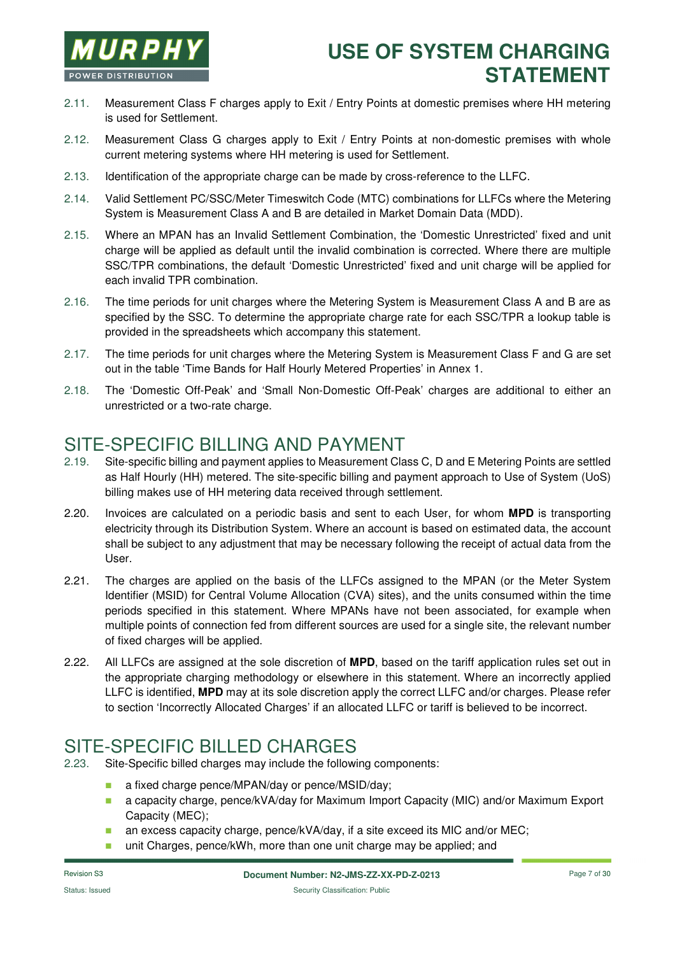

- 2.11. Measurement Class F charges apply to Exit / Entry Points at domestic premises where HH metering is used for Settlement.
- 2.12. Measurement Class G charges apply to Exit / Entry Points at non-domestic premises with whole current metering systems where HH metering is used for Settlement.
- 2.13. Identification of the appropriate charge can be made by cross-reference to the LLFC.
- 2.14. Valid Settlement PC/SSC/Meter Timeswitch Code (MTC) combinations for LLFCs where the Metering System is Measurement Class A and B are detailed in Market Domain Data (MDD).
- 2.15. Where an MPAN has an Invalid Settlement Combination, the 'Domestic Unrestricted' fixed and unit charge will be applied as default until the invalid combination is corrected. Where there are multiple SSC/TPR combinations, the default 'Domestic Unrestricted' fixed and unit charge will be applied for each invalid TPR combination.
- 2.16. The time periods for unit charges where the Metering System is Measurement Class A and B are as specified by the SSC. To determine the appropriate charge rate for each SSC/TPR a lookup table is provided in the spreadsheets which accompany this statement.
- 2.17. The time periods for unit charges where the Metering System is Measurement Class F and G are set out in the table 'Time Bands for Half Hourly Metered Properties' in Annex 1.
- 2.18. The 'Domestic Off-Peak' and 'Small Non-Domestic Off-Peak' charges are additional to either an unrestricted or a two-rate charge.

#### SITE-SPECIFIC BILLING AND PAYMENT

- 2.19. Site-specific billing and payment applies to Measurement Class C, D and E Metering Points are settled as Half Hourly (HH) metered. The site-specific billing and payment approach to Use of System (UoS) billing makes use of HH metering data received through settlement.
- 2.20. Invoices are calculated on a periodic basis and sent to each User, for whom **MPD** is transporting electricity through its Distribution System. Where an account is based on estimated data, the account shall be subject to any adjustment that may be necessary following the receipt of actual data from the User.
- 2.21. The charges are applied on the basis of the LLFCs assigned to the MPAN (or the Meter System Identifier (MSID) for Central Volume Allocation (CVA) sites), and the units consumed within the time periods specified in this statement. Where MPANs have not been associated, for example when multiple points of connection fed from different sources are used for a single site, the relevant number of fixed charges will be applied.
- 2.22. All LLFCs are assigned at the sole discretion of **MPD**, based on the tariff application rules set out in the appropriate charging methodology or elsewhere in this statement. Where an incorrectly applied LLFC is identified, **MPD** may at its sole discretion apply the correct LLFC and/or charges. Please refer to section 'Incorrectly Allocated Charges' if an allocated LLFC or tariff is believed to be incorrect.

### SITE-SPECIFIC BILLED CHARGES

- 2.23. Site-Specific billed charges may include the following components:
	- **a** a fixed charge pence/MPAN/day or pence/MSID/day;
	- a capacity charge, pence/kVA/day for Maximum Import Capacity (MIC) and/or Maximum Export Capacity (MEC);
	- an excess capacity charge, pence/kVA/day, if a site exceed its MIC and/or MEC;
	- unit Charges, pence/kWh, more than one unit charge may be applied; and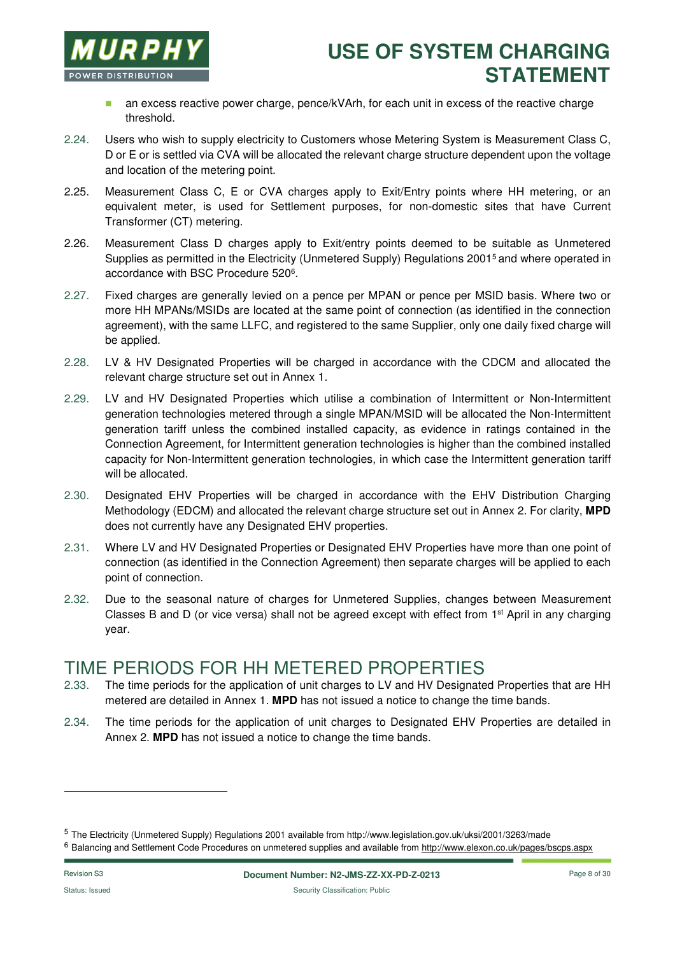

- **a** an excess reactive power charge, pence/kVArh, for each unit in excess of the reactive charge threshold.
- 2.24. Users who wish to supply electricity to Customers whose Metering System is Measurement Class C, D or E or is settled via CVA will be allocated the relevant charge structure dependent upon the voltage and location of the metering point.
- 2.25. Measurement Class C, E or CVA charges apply to Exit/Entry points where HH metering, or an equivalent meter, is used for Settlement purposes, for non-domestic sites that have Current Transformer (CT) metering.
- 2.26. Measurement Class D charges apply to Exit/entry points deemed to be suitable as Unmetered Supplies as permitted in the Electricity (Unmetered Supply) Regulations 2001<sup>5</sup> and where operated in accordance with BSC Procedure 520<sup>6</sup>.
- 2.27. Fixed charges are generally levied on a pence per MPAN or pence per MSID basis. Where two or more HH MPANs/MSIDs are located at the same point of connection (as identified in the connection agreement), with the same LLFC, and registered to the same Supplier, only one daily fixed charge will be applied.
- 2.28. LV & HV Designated Properties will be charged in accordance with the CDCM and allocated the relevant charge structure set out in Annex 1.
- 2.29. LV and HV Designated Properties which utilise a combination of Intermittent or Non-Intermittent generation technologies metered through a single MPAN/MSID will be allocated the Non-Intermittent generation tariff unless the combined installed capacity, as evidence in ratings contained in the Connection Agreement, for Intermittent generation technologies is higher than the combined installed capacity for Non-Intermittent generation technologies, in which case the Intermittent generation tariff will be allocated.
- 2.30. Designated EHV Properties will be charged in accordance with the EHV Distribution Charging Methodology (EDCM) and allocated the relevant charge structure set out in Annex 2. For clarity, **MPD** does not currently have any Designated EHV properties.
- 2.31. Where LV and HV Designated Properties or Designated EHV Properties have more than one point of connection (as identified in the Connection Agreement) then separate charges will be applied to each point of connection.
- 2.32. Due to the seasonal nature of charges for Unmetered Supplies, changes between Measurement Classes B and D (or vice versa) shall not be agreed except with effect from 1st April in any charging year.

#### TIME PERIODS FOR HH METERED PROPERTIES

- 2.33. The time periods for the application of unit charges to LV and HV Designated Properties that are HH metered are detailed in Annex 1. **MPD** has not issued a notice to change the time bands.
- 2.34. The time periods for the application of unit charges to Designated EHV Properties are detailed in Annex 2. **MPD** has not issued a notice to change the time bands.

-

<sup>5</sup> The Electricity (Unmetered Supply) Regulations 2001 available from http://www.legislation.gov.uk/uksi/2001/3263/made

<sup>&</sup>lt;sup>6</sup> Balancing and Settlement Code Procedures on unmetered supplies and available from http://www.elexon.co.uk/pages/bscps.aspx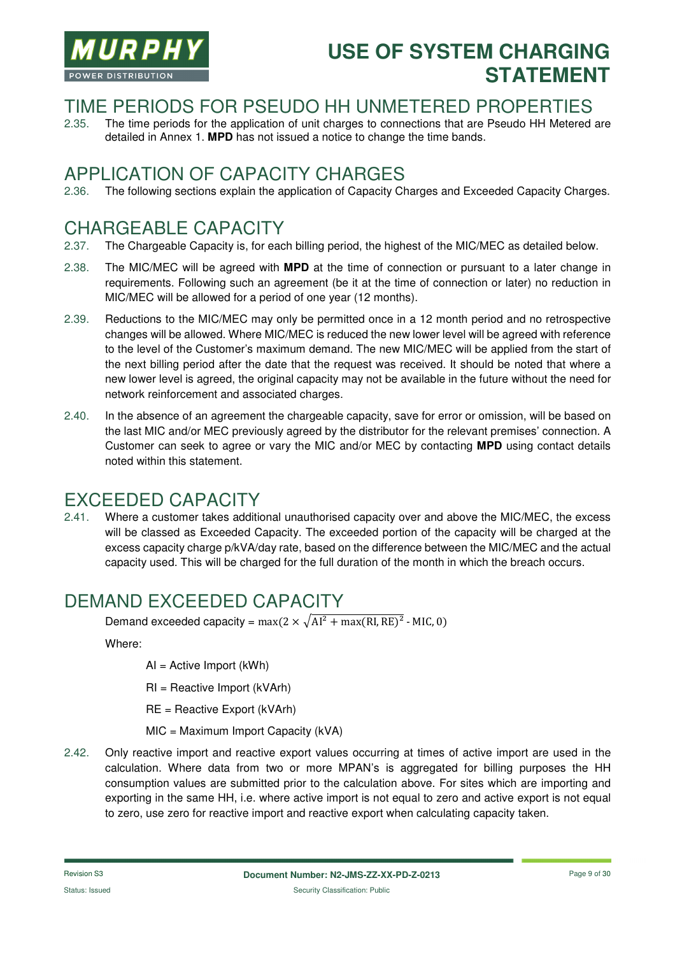

#### TIME PERIODS FOR PSEUDO HH UNMETERED PROPERTIES

2.35. The time periods for the application of unit charges to connections that are Pseudo HH Metered are detailed in Annex 1. **MPD** has not issued a notice to change the time bands.

#### APPLICATION OF CAPACITY CHARGES

2.36. The following sections explain the application of Capacity Charges and Exceeded Capacity Charges.

### CHARGEABLE CAPACITY

- 2.37. The Chargeable Capacity is, for each billing period, the highest of the MIC/MEC as detailed below.
- 2.38. The MIC/MEC will be agreed with **MPD** at the time of connection or pursuant to a later change in requirements. Following such an agreement (be it at the time of connection or later) no reduction in MIC/MEC will be allowed for a period of one year (12 months).
- 2.39. Reductions to the MIC/MEC may only be permitted once in a 12 month period and no retrospective changes will be allowed. Where MIC/MEC is reduced the new lower level will be agreed with reference to the level of the Customer's maximum demand. The new MIC/MEC will be applied from the start of the next billing period after the date that the request was received. It should be noted that where a new lower level is agreed, the original capacity may not be available in the future without the need for network reinforcement and associated charges.
- 2.40. In the absence of an agreement the chargeable capacity, save for error or omission, will be based on the last MIC and/or MEC previously agreed by the distributor for the relevant premises' connection. A Customer can seek to agree or vary the MIC and/or MEC by contacting **MPD** using contact details noted within this statement.

#### EXCEEDED CAPACITY

2.41. Where a customer takes additional unauthorised capacity over and above the MIC/MEC, the excess will be classed as Exceeded Capacity. The exceeded portion of the capacity will be charged at the excess capacity charge p/kVA/day rate, based on the difference between the MIC/MEC and the actual capacity used. This will be charged for the full duration of the month in which the breach occurs.

### DEMAND EXCEEDED CAPACITY

Demand exceeded capacity =  $max(2 \times \sqrt{Al^2 + max(RI, RE)^2})$  - MIC, 0)

Where:

AI = Active Import (kWh)

RI = Reactive Import (kVArh)

RE = Reactive Export (kVArh)

MIC = Maximum Import Capacity (kVA)

2.42. Only reactive import and reactive export values occurring at times of active import are used in the calculation. Where data from two or more MPAN's is aggregated for billing purposes the HH consumption values are submitted prior to the calculation above. For sites which are importing and exporting in the same HH, i.e. where active import is not equal to zero and active export is not equal to zero, use zero for reactive import and reactive export when calculating capacity taken.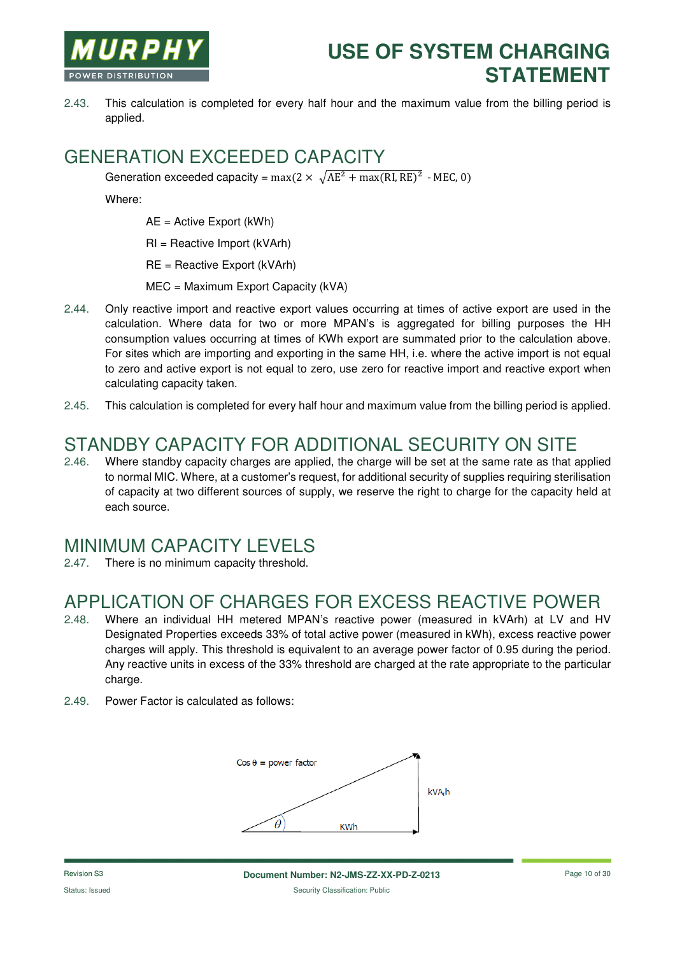

2.43. This calculation is completed for every half hour and the maximum value from the billing period is applied.

#### GENERATION EXCEEDED CAPACITY

Generation exceeded capacity =  $max(2 \times \sqrt{AE^2 + max(RI, RE)^2}$  - MEC, 0)

Where:

AE = Active Export (kWh)

RI = Reactive Import (kVArh)

RE = Reactive Export (kVArh)

MEC = Maximum Export Capacity (kVA)

- 2.44. Only reactive import and reactive export values occurring at times of active export are used in the calculation. Where data for two or more MPAN's is aggregated for billing purposes the HH consumption values occurring at times of KWh export are summated prior to the calculation above. For sites which are importing and exporting in the same HH, i.e. where the active import is not equal to zero and active export is not equal to zero, use zero for reactive import and reactive export when calculating capacity taken.
- 2.45. This calculation is completed for every half hour and maximum value from the billing period is applied.

# STANDBY CAPACITY FOR ADDITIONAL SECURITY ON SITE

2.46. Where standby capacity charges are applied, the charge will be set at the same rate as that applied to normal MIC. Where, at a customer's request, for additional security of supplies requiring sterilisation of capacity at two different sources of supply, we reserve the right to charge for the capacity held at each source.

#### MINIMUM CAPACITY LEVELS

2.47. There is no minimum capacity threshold.

### APPLICATION OF CHARGES FOR EXCESS REACTIVE POWER

- 2.48. Where an individual HH metered MPAN's reactive power (measured in kVArh) at LV and HV Designated Properties exceeds 33% of total active power (measured in kWh), excess reactive power charges will apply. This threshold is equivalent to an average power factor of 0.95 during the period. Any reactive units in excess of the 33% threshold are charged at the rate appropriate to the particular charge.
- 2.49. Power Factor is calculated as follows:

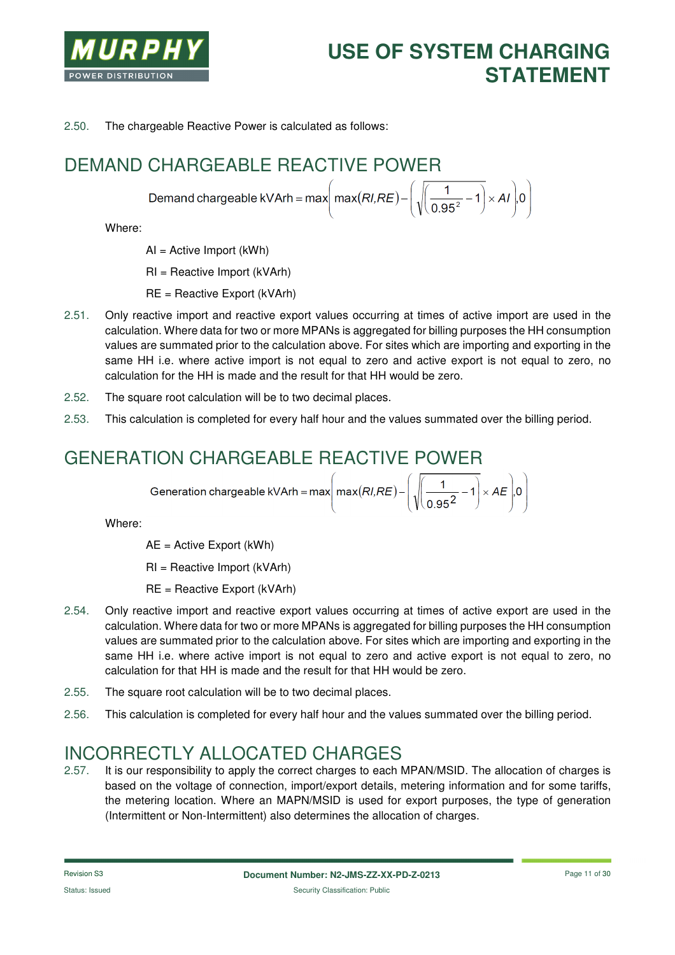

2.50. The chargeable Reactive Power is calculated as follows:

# DEMAND CHARGEABLE REACTIVE POWER

Demand chargeable kVArh = max  $\left(\text{max}(RI,RE) - \left(\sqrt{\left(\frac{1}{0.95^2} - 1\right)} \times AI\right)0\right)$ 

Where:

AI = Active Import (kWh)

RI = Reactive Import (kVArh)

RE = Reactive Export (kVArh)

- 2.51. Only reactive import and reactive export values occurring at times of active import are used in the calculation. Where data for two or more MPANs is aggregated for billing purposes the HH consumption values are summated prior to the calculation above. For sites which are importing and exporting in the same HH i.e. where active import is not equal to zero and active export is not equal to zero, no calculation for the HH is made and the result for that HH would be zero.
- 2.52. The square root calculation will be to two decimal places.
- 2.53. This calculation is completed for every half hour and the values summated over the billing period.

### GENERATION CHARGEABLE REACTIVE POWER

$$
Generation chargeable KVArh = max \left( max(RI, RE) - \left( \sqrt{\frac{1}{0.95^2} - 1} \right) \times AE \right) .0
$$

Where:

AE = Active Export (kWh)

RI = Reactive Import (kVArh)

- RE = Reactive Export (kVArh)
- 2.54. Only reactive import and reactive export values occurring at times of active export are used in the calculation. Where data for two or more MPANs is aggregated for billing purposes the HH consumption values are summated prior to the calculation above. For sites which are importing and exporting in the same HH i.e. where active import is not equal to zero and active export is not equal to zero, no calculation for that HH is made and the result for that HH would be zero.
- 2.55. The square root calculation will be to two decimal places.
- 2.56. This calculation is completed for every half hour and the values summated over the billing period.

#### INCORRECTLY ALLOCATED CHARGES

2.57. It is our responsibility to apply the correct charges to each MPAN/MSID. The allocation of charges is based on the voltage of connection, import/export details, metering information and for some tariffs, the metering location. Where an MAPN/MSID is used for export purposes, the type of generation (Intermittent or Non-Intermittent) also determines the allocation of charges.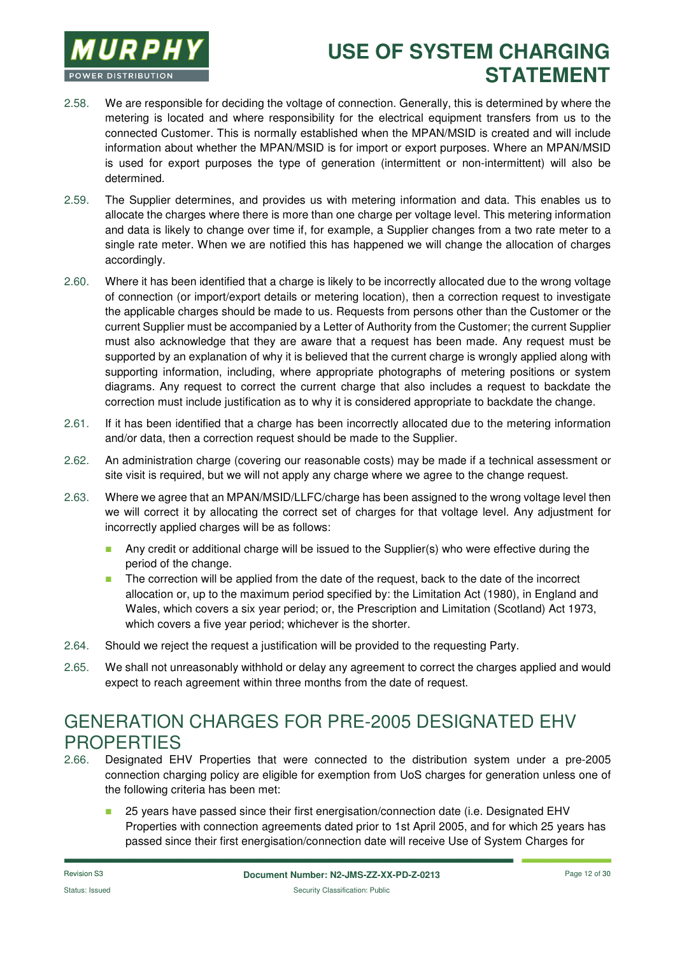

- 2.58. We are responsible for deciding the voltage of connection. Generally, this is determined by where the metering is located and where responsibility for the electrical equipment transfers from us to the connected Customer. This is normally established when the MPAN/MSID is created and will include information about whether the MPAN/MSID is for import or export purposes. Where an MPAN/MSID is used for export purposes the type of generation (intermittent or non-intermittent) will also be determined.
- 2.59. The Supplier determines, and provides us with metering information and data. This enables us to allocate the charges where there is more than one charge per voltage level. This metering information and data is likely to change over time if, for example, a Supplier changes from a two rate meter to a single rate meter. When we are notified this has happened we will change the allocation of charges accordingly.
- 2.60. Where it has been identified that a charge is likely to be incorrectly allocated due to the wrong voltage of connection (or import/export details or metering location), then a correction request to investigate the applicable charges should be made to us. Requests from persons other than the Customer or the current Supplier must be accompanied by a Letter of Authority from the Customer; the current Supplier must also acknowledge that they are aware that a request has been made. Any request must be supported by an explanation of why it is believed that the current charge is wrongly applied along with supporting information, including, where appropriate photographs of metering positions or system diagrams. Any request to correct the current charge that also includes a request to backdate the correction must include justification as to why it is considered appropriate to backdate the change.
- 2.61. If it has been identified that a charge has been incorrectly allocated due to the metering information and/or data, then a correction request should be made to the Supplier.
- 2.62. An administration charge (covering our reasonable costs) may be made if a technical assessment or site visit is required, but we will not apply any charge where we agree to the change request.
- 2.63. Where we agree that an MPAN/MSID/LLFC/charge has been assigned to the wrong voltage level then we will correct it by allocating the correct set of charges for that voltage level. Any adjustment for incorrectly applied charges will be as follows:
	- **Any credit or additional charge will be issued to the Supplier(s) who were effective during the** period of the change.
	- The correction will be applied from the date of the request, back to the date of the incorrect allocation or, up to the maximum period specified by: the Limitation Act (1980), in England and Wales, which covers a six year period; or, the Prescription and Limitation (Scotland) Act 1973, which covers a five year period; whichever is the shorter.
- 2.64. Should we reject the request a justification will be provided to the requesting Party.
- 2.65. We shall not unreasonably withhold or delay any agreement to correct the charges applied and would expect to reach agreement within three months from the date of request.

# GENERATION CHARGES FOR PRE-2005 DESIGNATED EHV **PROPERTIES**

- 2.66. Designated EHV Properties that were connected to the distribution system under a pre-2005 connection charging policy are eligible for exemption from UoS charges for generation unless one of the following criteria has been met:
	- 25 years have passed since their first energisation/connection date (i.e. Designated EHV Properties with connection agreements dated prior to 1st April 2005, and for which 25 years has passed since their first energisation/connection date will receive Use of System Charges for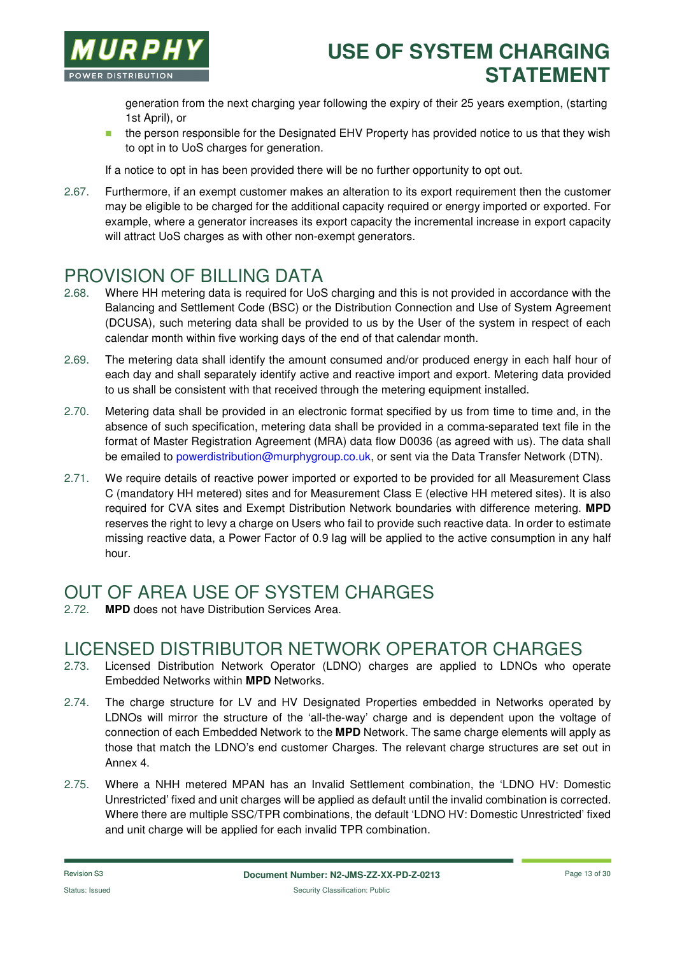

generation from the next charging year following the expiry of their 25 years exemption, (starting 1st April), or

**the person responsible for the Designated EHV Property has provided notice to us that they wish** to opt in to UoS charges for generation.

If a notice to opt in has been provided there will be no further opportunity to opt out.

2.67. Furthermore, if an exempt customer makes an alteration to its export requirement then the customer may be eligible to be charged for the additional capacity required or energy imported or exported. For example, where a generator increases its export capacity the incremental increase in export capacity will attract UoS charges as with other non-exempt generators.

#### PROVISION OF BILLING DATA

- 2.68. Where HH metering data is required for UoS charging and this is not provided in accordance with the Balancing and Settlement Code (BSC) or the Distribution Connection and Use of System Agreement (DCUSA), such metering data shall be provided to us by the User of the system in respect of each calendar month within five working days of the end of that calendar month.
- 2.69. The metering data shall identify the amount consumed and/or produced energy in each half hour of each day and shall separately identify active and reactive import and export. Metering data provided to us shall be consistent with that received through the metering equipment installed.
- 2.70. Metering data shall be provided in an electronic format specified by us from time to time and, in the absence of such specification, metering data shall be provided in a comma-separated text file in the format of Master Registration Agreement (MRA) data flow D0036 (as agreed with us). The data shall be emailed to powerdistribution@murphygroup.co.uk, or sent via the Data Transfer Network (DTN).
- 2.71. We require details of reactive power imported or exported to be provided for all Measurement Class C (mandatory HH metered) sites and for Measurement Class E (elective HH metered sites). It is also required for CVA sites and Exempt Distribution Network boundaries with difference metering. **MPD** reserves the right to levy a charge on Users who fail to provide such reactive data. In order to estimate missing reactive data, a Power Factor of 0.9 lag will be applied to the active consumption in any half hour.

# OUT OF AREA USE OF SYSTEM CHARGES

**MPD** does not have Distribution Services Area.

#### LICENSED DISTRIBUTOR NETWORK OPERATOR CHARGES

- 2.73. Licensed Distribution Network Operator (LDNO) charges are applied to LDNOs who operate Embedded Networks within **MPD** Networks.
- 2.74. The charge structure for LV and HV Designated Properties embedded in Networks operated by LDNOs will mirror the structure of the 'all-the-way' charge and is dependent upon the voltage of connection of each Embedded Network to the **MPD** Network. The same charge elements will apply as those that match the LDNO's end customer Charges. The relevant charge structures are set out in Annex 4.
- 2.75. Where a NHH metered MPAN has an Invalid Settlement combination, the 'LDNO HV: Domestic Unrestricted' fixed and unit charges will be applied as default until the invalid combination is corrected. Where there are multiple SSC/TPR combinations, the default 'LDNO HV: Domestic Unrestricted' fixed and unit charge will be applied for each invalid TPR combination.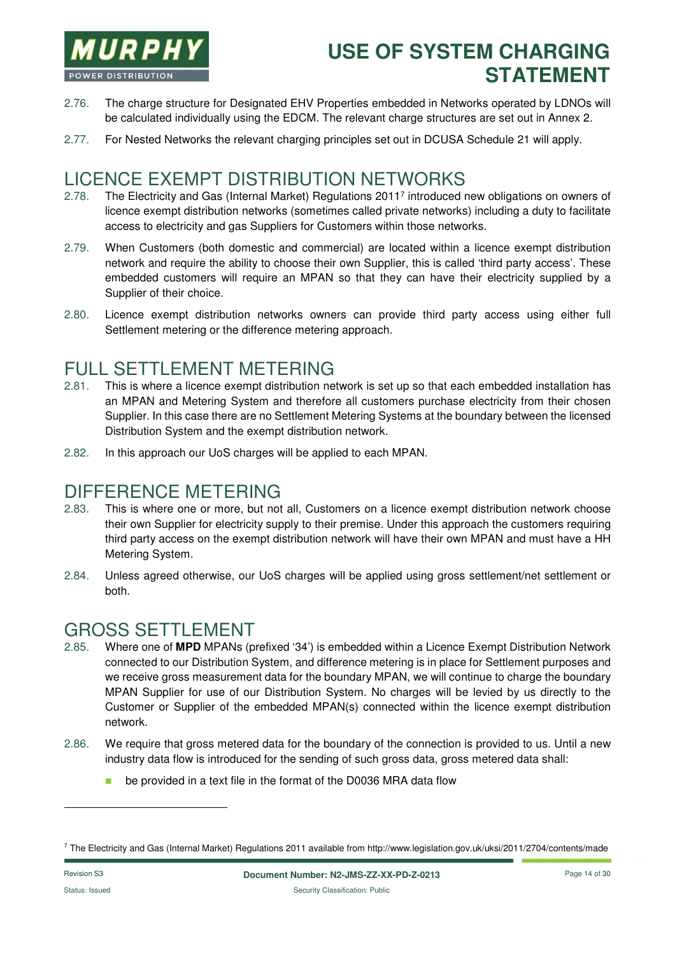

- 2.76. The charge structure for Designated EHV Properties embedded in Networks operated by LDNOs will be calculated individually using the EDCM. The relevant charge structures are set out in Annex 2.
- 2.77. For Nested Networks the relevant charging principles set out in DCUSA Schedule 21 will apply.

#### LICENCE EXEMPT DISTRIBUTION NETWORKS

- 2.78. The Electricity and Gas (Internal Market) Regulations 2011<sup>7</sup> introduced new obligations on owners of licence exempt distribution networks (sometimes called private networks) including a duty to facilitate access to electricity and gas Suppliers for Customers within those networks.
- 2.79. When Customers (both domestic and commercial) are located within a licence exempt distribution network and require the ability to choose their own Supplier, this is called 'third party access'. These embedded customers will require an MPAN so that they can have their electricity supplied by a Supplier of their choice.
- 2.80. Licence exempt distribution networks owners can provide third party access using either full Settlement metering or the difference metering approach.

### FULL SETTLEMENT METERING

- 2.81. This is where a licence exempt distribution network is set up so that each embedded installation has an MPAN and Metering System and therefore all customers purchase electricity from their chosen Supplier. In this case there are no Settlement Metering Systems at the boundary between the licensed Distribution System and the exempt distribution network.
- 2.82. In this approach our UoS charges will be applied to each MPAN.

#### DIFFERENCE METERING

- 2.83. This is where one or more, but not all, Customers on a licence exempt distribution network choose their own Supplier for electricity supply to their premise. Under this approach the customers requiring third party access on the exempt distribution network will have their own MPAN and must have a HH Metering System.
- 2.84. Unless agreed otherwise, our UoS charges will be applied using gross settlement/net settlement or both.

### GROSS SETTLEMENT

- 2.85. Where one of **MPD** MPANs (prefixed '34') is embedded within a Licence Exempt Distribution Network connected to our Distribution System, and difference metering is in place for Settlement purposes and we receive gross measurement data for the boundary MPAN, we will continue to charge the boundary MPAN Supplier for use of our Distribution System. No charges will be levied by us directly to the Customer or Supplier of the embedded MPAN(s) connected within the licence exempt distribution network.
- 2.86. We require that gross metered data for the boundary of the connection is provided to us. Until a new industry data flow is introduced for the sending of such gross data, gross metered data shall:
	- **be provided in a text file in the format of the D0036 MRA data flow**

l

<sup>7</sup> The Electricity and Gas (Internal Market) Regulations 2011 available from http://www.legislation.gov.uk/uksi/2011/2704/contents/made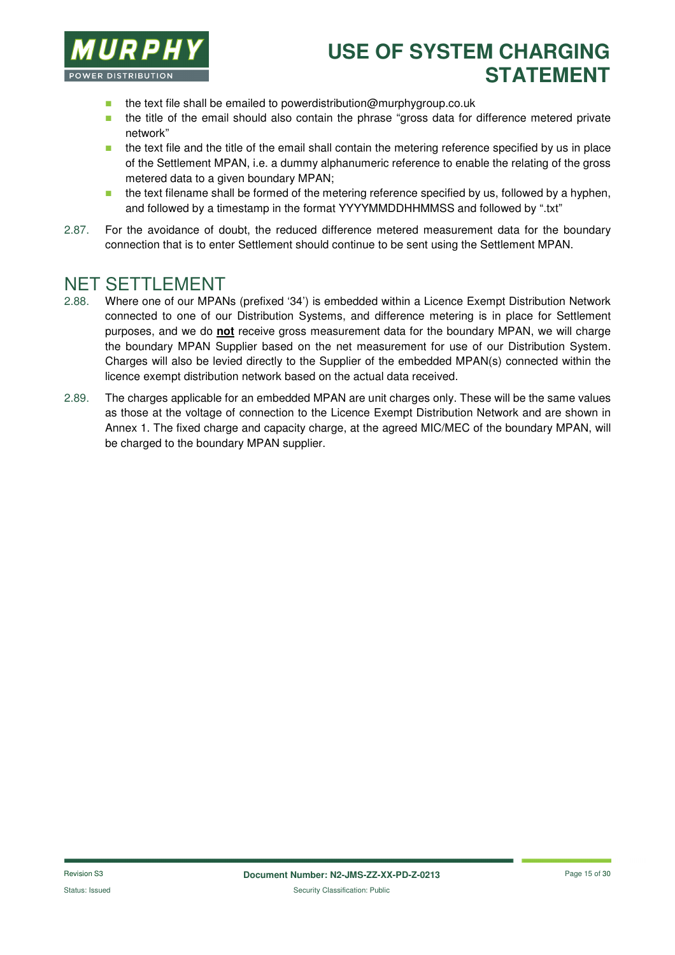

- $\blacksquare$  the text file shall be emailed to powerdistribution@murphygroup.co.uk
- **the title of the email should also contain the phrase "gross data for difference metered private** network"
- **the text file and the title of the email shall contain the metering reference specified by us in place** of the Settlement MPAN, i.e. a dummy alphanumeric reference to enable the relating of the gross metered data to a given boundary MPAN;
- $\blacksquare$  the text filename shall be formed of the metering reference specified by us, followed by a hyphen, and followed by a timestamp in the format YYYYMMDDHHMMSS and followed by ".txt"
- 2.87. For the avoidance of doubt, the reduced difference metered measurement data for the boundary connection that is to enter Settlement should continue to be sent using the Settlement MPAN.

#### NET SETTLEMENT

- 2.88. Where one of our MPANs (prefixed '34') is embedded within a Licence Exempt Distribution Network connected to one of our Distribution Systems, and difference metering is in place for Settlement purposes, and we do **not** receive gross measurement data for the boundary MPAN, we will charge the boundary MPAN Supplier based on the net measurement for use of our Distribution System. Charges will also be levied directly to the Supplier of the embedded MPAN(s) connected within the licence exempt distribution network based on the actual data received.
- 2.89. The charges applicable for an embedded MPAN are unit charges only. These will be the same values as those at the voltage of connection to the Licence Exempt Distribution Network and are shown in Annex 1. The fixed charge and capacity charge, at the agreed MIC/MEC of the boundary MPAN, will be charged to the boundary MPAN supplier.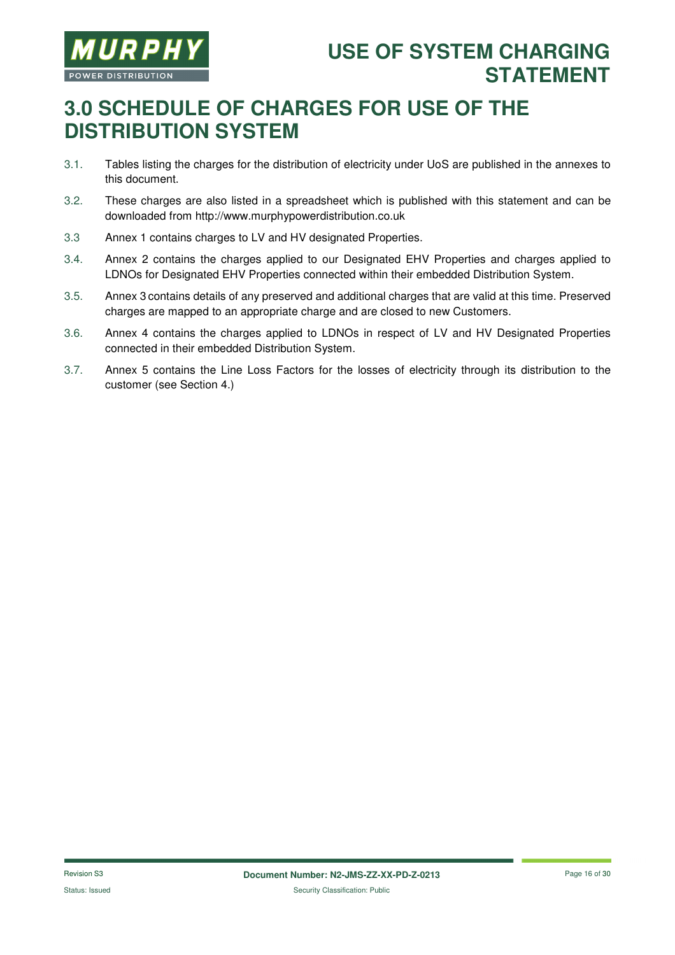

# **3.0 SCHEDULE OF CHARGES FOR USE OF THE DISTRIBUTION SYSTEM**

- 3.1. Tables listing the charges for the distribution of electricity under UoS are published in the annexes to this document.
- 3.2. These charges are also listed in a spreadsheet which is published with this statement and can be downloaded from http://www.murphypowerdistribution.co.uk
- 3.3 Annex 1 contains charges to LV and HV designated Properties.
- 3.4. Annex 2 contains the charges applied to our Designated EHV Properties and charges applied to LDNOs for Designated EHV Properties connected within their embedded Distribution System.
- 3.5. Annex 3 contains details of any preserved and additional charges that are valid at this time. Preserved charges are mapped to an appropriate charge and are closed to new Customers.
- 3.6. Annex 4 contains the charges applied to LDNOs in respect of LV and HV Designated Properties connected in their embedded Distribution System.
- 3.7. Annex 5 contains the Line Loss Factors for the losses of electricity through its distribution to the customer (see Section 4.)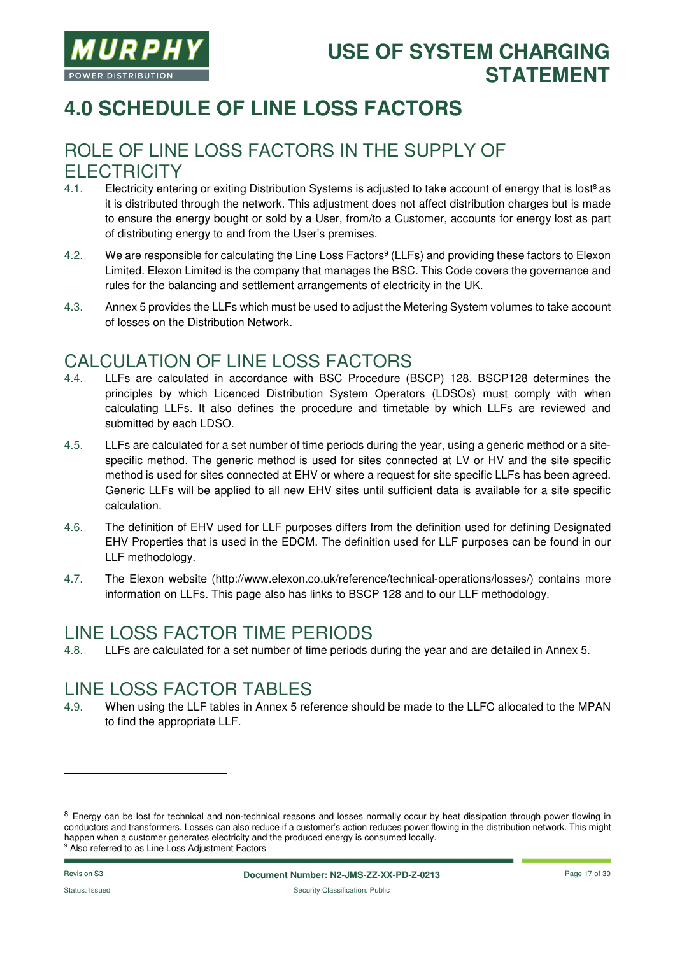

# **4.0 SCHEDULE OF LINE LOSS FACTORS**

#### ROLE OF LINE LOSS FACTORS IN THE SUPPLY OF **FI FCTRICITY**

- 4.1. Electricity entering or exiting Distribution Systems is adjusted to take account of energy that is lost<sup>8</sup> as it is distributed through the network. This adjustment does not affect distribution charges but is made to ensure the energy bought or sold by a User, from/to a Customer, accounts for energy lost as part of distributing energy to and from the User's premises.
- 4.2. We are responsible for calculating the Line Loss Factors<sup>9</sup> (LLFs) and providing these factors to Elexon Limited. Elexon Limited is the company that manages the BSC. This Code covers the governance and rules for the balancing and settlement arrangements of electricity in the UK.
- 4.3. Annex 5 provides the LLFs which must be used to adjust the Metering System volumes to take account of losses on the Distribution Network.

#### CALCULATION OF LINE LOSS FACTORS

- 4.4. LLFs are calculated in accordance with BSC Procedure (BSCP) 128. BSCP128 determines the principles by which Licenced Distribution System Operators (LDSOs) must comply with when calculating LLFs. It also defines the procedure and timetable by which LLFs are reviewed and submitted by each LDSO.
- 4.5. LLFs are calculated for a set number of time periods during the year, using a generic method or a sitespecific method. The generic method is used for sites connected at LV or HV and the site specific method is used for sites connected at EHV or where a request for site specific LLFs has been agreed. Generic LLFs will be applied to all new EHV sites until sufficient data is available for a site specific calculation.
- 4.6. The definition of EHV used for LLF purposes differs from the definition used for defining Designated EHV Properties that is used in the EDCM. The definition used for LLF purposes can be found in our LLF methodology.
- 4.7. The Elexon website (http://www.elexon.co.uk/reference/technical-operations/losses/) contains more information on LLFs. This page also has links to BSCP 128 and to our LLF methodology.

#### LINE LOSS FACTOR TIME PERIODS

4.8. LLFs are calculated for a set number of time periods during the year and are detailed in Annex 5.

#### LINE LOSS FACTOR TABLES

4.9. When using the LLF tables in Annex 5 reference should be made to the LLFC allocated to the MPAN to find the appropriate LLF.

-

<sup>&</sup>lt;sup>8</sup> Energy can be lost for technical and non-technical reasons and losses normally occur by heat dissipation through power flowing in conductors and transformers. Losses can also reduce if a customer's action reduces power flowing in the distribution network. This might happen when a customer generates electricity and the produced energy is consumed locally. <sup>9</sup> Also referred to as Line Loss Adjustment Factors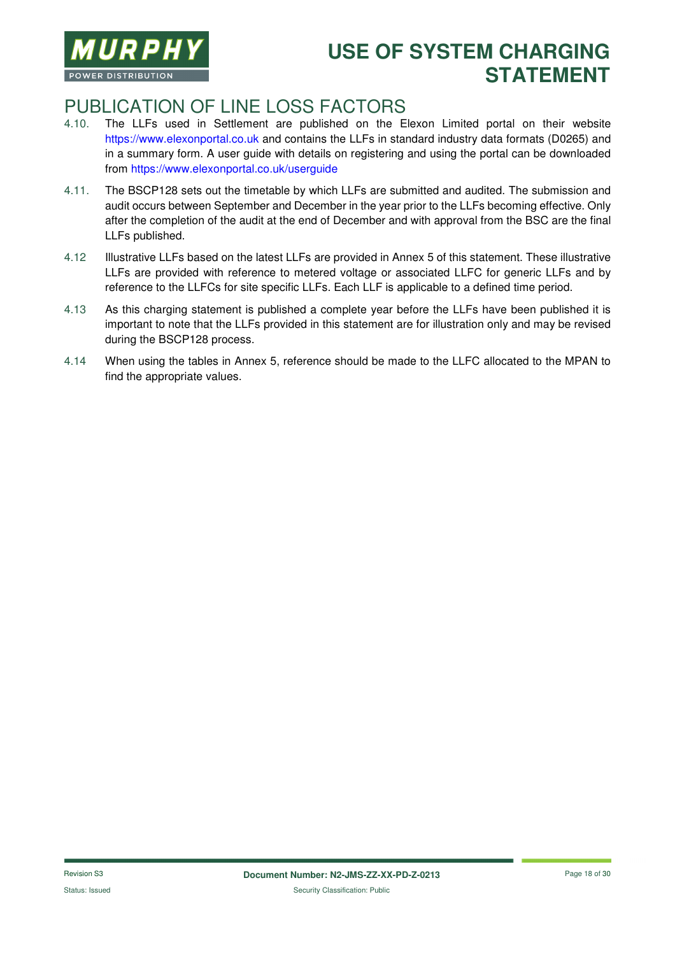

#### PUBLICATION OF LINE LOSS FACTORS

- 4.10. The LLFs used in Settlement are published on the Elexon Limited portal on their website https://www.elexonportal.co.uk and contains the LLFs in standard industry data formats (D0265) and in a summary form. A user guide with details on registering and using the portal can be downloaded from https://www.elexonportal.co.uk/userguide
- 4.11. The BSCP128 sets out the timetable by which LLFs are submitted and audited. The submission and audit occurs between September and December in the year prior to the LLFs becoming effective. Only after the completion of the audit at the end of December and with approval from the BSC are the final LLFs published.
- 4.12 Illustrative LLFs based on the latest LLFs are provided in Annex 5 of this statement. These illustrative LLFs are provided with reference to metered voltage or associated LLFC for generic LLFs and by reference to the LLFCs for site specific LLFs. Each LLF is applicable to a defined time period.
- 4.13 As this charging statement is published a complete year before the LLFs have been published it is important to note that the LLFs provided in this statement are for illustration only and may be revised during the BSCP128 process.
- 4.14 When using the tables in Annex 5, reference should be made to the LLFC allocated to the MPAN to find the appropriate values.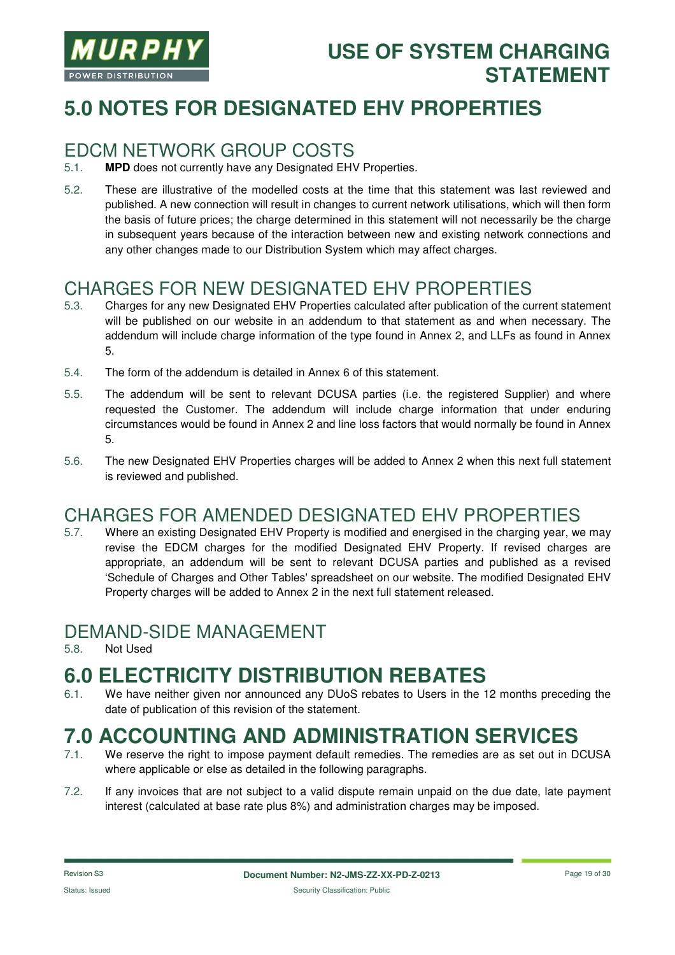

# **5.0 NOTES FOR DESIGNATED EHV PROPERTIES**

#### EDCM NETWORK GROUP COSTS

- 5.1. **MPD** does not currently have any Designated EHV Properties.
- 5.2. These are illustrative of the modelled costs at the time that this statement was last reviewed and published. A new connection will result in changes to current network utilisations, which will then form the basis of future prices; the charge determined in this statement will not necessarily be the charge in subsequent years because of the interaction between new and existing network connections and any other changes made to our Distribution System which may affect charges.

#### CHARGES FOR NEW DESIGNATED EHV PROPERTIES

- 5.3. Charges for any new Designated EHV Properties calculated after publication of the current statement will be published on our website in an addendum to that statement as and when necessary. The addendum will include charge information of the type found in Annex 2, and LLFs as found in Annex 5.
- 5.4. The form of the addendum is detailed in Annex 6 of this statement.
- 5.5. The addendum will be sent to relevant DCUSA parties (i.e. the registered Supplier) and where requested the Customer. The addendum will include charge information that under enduring circumstances would be found in Annex 2 and line loss factors that would normally be found in Annex 5.
- 5.6. The new Designated EHV Properties charges will be added to Annex 2 when this next full statement is reviewed and published.

#### CHARGES FOR AMENDED DESIGNATED EHV PROPERTIES

5.7. Where an existing Designated EHV Property is modified and energised in the charging year, we may revise the EDCM charges for the modified Designated EHV Property. If revised charges are appropriate, an addendum will be sent to relevant DCUSA parties and published as a revised 'Schedule of Charges and Other Tables' spreadsheet on our website. The modified Designated EHV Property charges will be added to Annex 2 in the next full statement released.

#### DEMAND-SIDE MANAGEMENT

5.8. Not Used

# **6.0 ELECTRICITY DISTRIBUTION REBATES**

6.1. We have neither given nor announced any DUoS rebates to Users in the 12 months preceding the date of publication of this revision of the statement.

# **7.0 ACCOUNTING AND ADMINISTRATION SERVICES**

- We reserve the right to impose payment default remedies. The remedies are as set out in DCUSA where applicable or else as detailed in the following paragraphs.
- 7.2. If any invoices that are not subject to a valid dispute remain unpaid on the due date, late payment interest (calculated at base rate plus 8%) and administration charges may be imposed.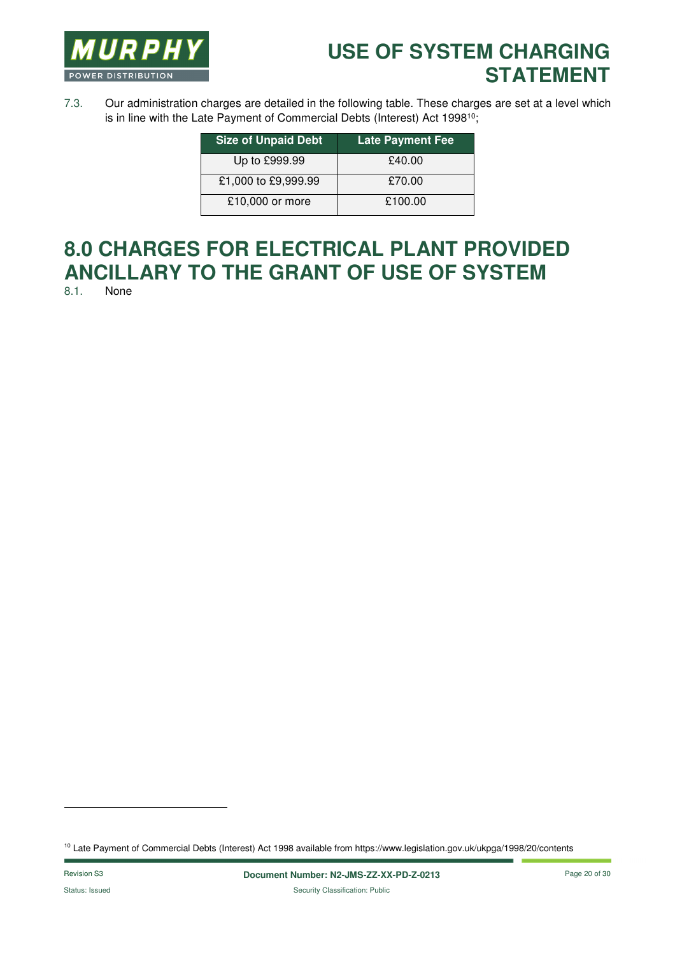

7.3. Our administration charges are detailed in the following table. These charges are set at a level which is in line with the Late Payment of Commercial Debts (Interest) Act 1998<sup>10</sup>;

| <b>Size of Unpaid Debt</b> | <b>Late Payment Fee</b> |
|----------------------------|-------------------------|
| Up to £999.99              | £40.00                  |
| £1,000 to £9,999.99        | £70.00                  |
| £10,000 or more            | £100.00                 |

# **8.0 CHARGES FOR ELECTRICAL PLANT PROVIDED ANCILLARY TO THE GRANT OF USE OF SYSTEM**

None

l

<sup>10</sup> Late Payment of Commercial Debts (Interest) Act 1998 available from https://www.legislation.gov.uk/ukpga/1998/20/contents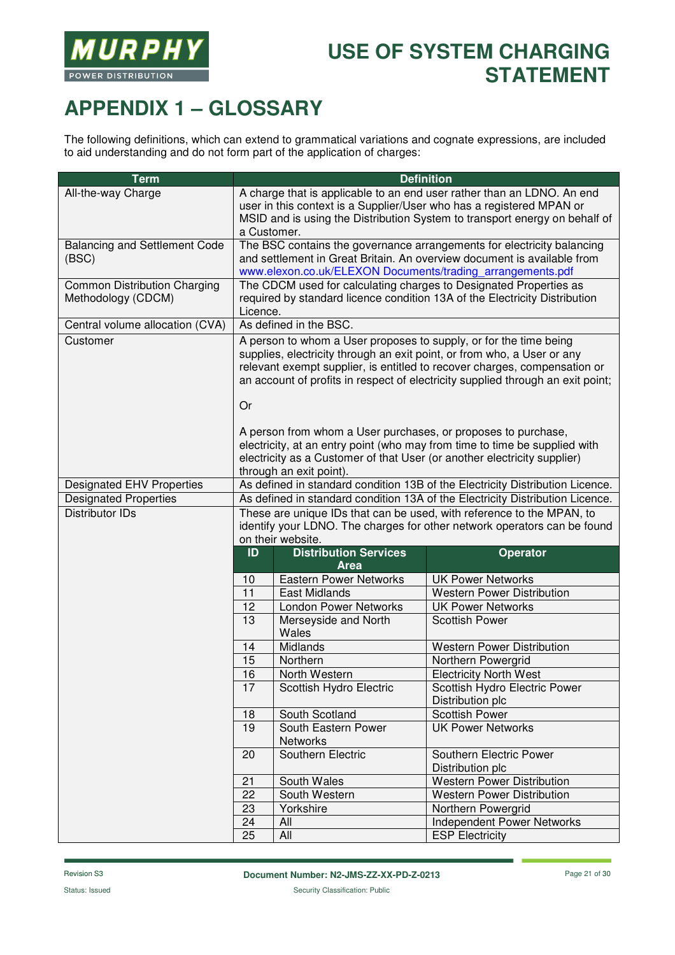

# **APPENDIX 1 – GLOSSARY**

The following definitions, which can extend to grammatical variations and cognate expressions, are included to aid understanding and do not form part of the application of charges:

| <b>Term</b>                                               |                                                                                                                                                                                                                                                                                                                                                                                     |                                             | <b>Definition</b>                                                                                                                                                                                                            |
|-----------------------------------------------------------|-------------------------------------------------------------------------------------------------------------------------------------------------------------------------------------------------------------------------------------------------------------------------------------------------------------------------------------------------------------------------------------|---------------------------------------------|------------------------------------------------------------------------------------------------------------------------------------------------------------------------------------------------------------------------------|
| All-the-way Charge                                        | a Customer.                                                                                                                                                                                                                                                                                                                                                                         |                                             | A charge that is applicable to an end user rather than an LDNO. An end<br>user in this context is a Supplier/User who has a registered MPAN or<br>MSID and is using the Distribution System to transport energy on behalf of |
| <b>Balancing and Settlement Code</b><br>(BSC)             | The BSC contains the governance arrangements for electricity balancing<br>and settlement in Great Britain. An overview document is available from<br>www.elexon.co.uk/ELEXON Documents/trading_arrangements.pdf                                                                                                                                                                     |                                             |                                                                                                                                                                                                                              |
| <b>Common Distribution Charging</b><br>Methodology (CDCM) | The CDCM used for calculating charges to Designated Properties as<br>required by standard licence condition 13A of the Electricity Distribution<br>Licence.                                                                                                                                                                                                                         |                                             |                                                                                                                                                                                                                              |
| Central volume allocation (CVA)                           |                                                                                                                                                                                                                                                                                                                                                                                     | As defined in the BSC.                      |                                                                                                                                                                                                                              |
| Customer                                                  | A person to whom a User proposes to supply, or for the time being<br>supplies, electricity through an exit point, or from who, a User or any<br>relevant exempt supplier, is entitled to recover charges, compensation or<br>an account of profits in respect of electricity supplied through an exit point;<br>Or<br>A person from whom a User purchases, or proposes to purchase, |                                             |                                                                                                                                                                                                                              |
|                                                           |                                                                                                                                                                                                                                                                                                                                                                                     | through an exit point).                     | electricity, at an entry point (who may from time to time be supplied with<br>electricity as a Customer of that User (or another electricity supplier)                                                                       |
| <b>Designated EHV Properties</b>                          |                                                                                                                                                                                                                                                                                                                                                                                     |                                             | As defined in standard condition 13B of the Electricity Distribution Licence.                                                                                                                                                |
| <b>Designated Properties</b>                              | As defined in standard condition 13A of the Electricity Distribution Licence.                                                                                                                                                                                                                                                                                                       |                                             |                                                                                                                                                                                                                              |
| <b>Distributor IDs</b>                                    | These are unique IDs that can be used, with reference to the MPAN, to<br>identify your LDNO. The charges for other network operators can be found<br>on their website.                                                                                                                                                                                                              |                                             |                                                                                                                                                                                                                              |
|                                                           | ID                                                                                                                                                                                                                                                                                                                                                                                  | <b>Distribution Services</b><br><b>Area</b> | <b>Operator</b>                                                                                                                                                                                                              |
|                                                           | 10                                                                                                                                                                                                                                                                                                                                                                                  | <b>Eastern Power Networks</b>               | <b>UK Power Networks</b>                                                                                                                                                                                                     |
|                                                           | 11                                                                                                                                                                                                                                                                                                                                                                                  | <b>East Midlands</b>                        | <b>Western Power Distribution</b>                                                                                                                                                                                            |
|                                                           | 12                                                                                                                                                                                                                                                                                                                                                                                  | London Power Networks                       | <b>UK Power Networks</b>                                                                                                                                                                                                     |
|                                                           | 13                                                                                                                                                                                                                                                                                                                                                                                  | Merseyside and North<br>Wales               | <b>Scottish Power</b>                                                                                                                                                                                                        |
|                                                           | 14                                                                                                                                                                                                                                                                                                                                                                                  | Midlands                                    | <b>Western Power Distribution</b>                                                                                                                                                                                            |
|                                                           | 15                                                                                                                                                                                                                                                                                                                                                                                  | Northern                                    | Northern Powergrid                                                                                                                                                                                                           |
|                                                           | 16                                                                                                                                                                                                                                                                                                                                                                                  | North Western                               | <b>Electricity North West</b>                                                                                                                                                                                                |
|                                                           | 17                                                                                                                                                                                                                                                                                                                                                                                  | Scottish Hydro Electric                     | Scottish Hydro Electric Power<br>Distribution plc                                                                                                                                                                            |
|                                                           | 18                                                                                                                                                                                                                                                                                                                                                                                  | South Scotland                              | <b>Scottish Power</b>                                                                                                                                                                                                        |
|                                                           | 19                                                                                                                                                                                                                                                                                                                                                                                  | South Eastern Power<br><b>Networks</b>      | <b>UK Power Networks</b>                                                                                                                                                                                                     |
|                                                           | 20                                                                                                                                                                                                                                                                                                                                                                                  | Southern Electric                           | Southern Electric Power<br>Distribution plc                                                                                                                                                                                  |
|                                                           | 21                                                                                                                                                                                                                                                                                                                                                                                  | South Wales                                 | Western Power Distribution                                                                                                                                                                                                   |
|                                                           | 22                                                                                                                                                                                                                                                                                                                                                                                  | South Western                               | <b>Western Power Distribution</b>                                                                                                                                                                                            |
|                                                           | 23                                                                                                                                                                                                                                                                                                                                                                                  | Yorkshire                                   | Northern Powergrid                                                                                                                                                                                                           |
|                                                           | 24                                                                                                                                                                                                                                                                                                                                                                                  | All                                         | Independent Power Networks                                                                                                                                                                                                   |
|                                                           | 25                                                                                                                                                                                                                                                                                                                                                                                  | All                                         | <b>ESP Electricity</b>                                                                                                                                                                                                       |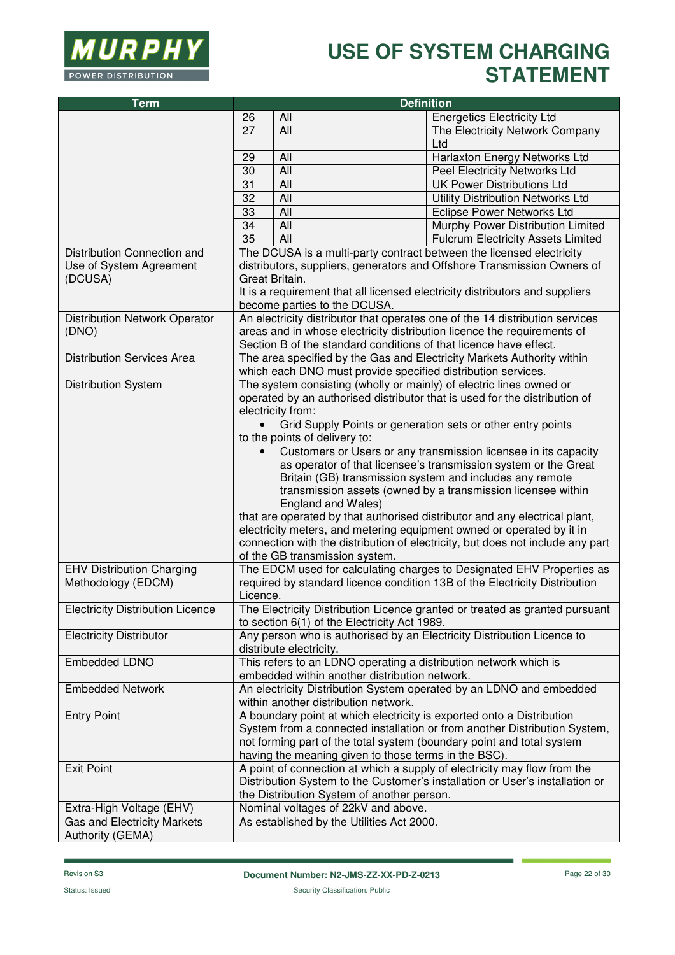

| <b>Term</b>                             | <b>Definition</b> |                                                                       |                                                                                |
|-----------------------------------------|-------------------|-----------------------------------------------------------------------|--------------------------------------------------------------------------------|
|                                         | 26                | All                                                                   | <b>Energetics Electricity Ltd</b>                                              |
|                                         | 27                | All                                                                   | The Electricity Network Company                                                |
|                                         |                   |                                                                       | Ltd                                                                            |
|                                         | 29                | All                                                                   | Harlaxton Energy Networks Ltd                                                  |
|                                         | 30                | All                                                                   | Peel Electricity Networks Ltd                                                  |
|                                         | 31                | All                                                                   | <b>UK Power Distributions Ltd</b>                                              |
|                                         | 32                | All                                                                   | Utility Distribution Networks Ltd                                              |
|                                         | 33                | All                                                                   | <b>Eclipse Power Networks Ltd</b>                                              |
|                                         | 34                | All                                                                   | Murphy Power Distribution Limited                                              |
|                                         | 35                | All                                                                   | Fulcrum Electricity Assets Limited                                             |
| Distribution Connection and             |                   |                                                                       | The DCUSA is a multi-party contract between the licensed electricity           |
| Use of System Agreement                 |                   |                                                                       | distributors, suppliers, generators and Offshore Transmission Owners of        |
| (DCUSA)                                 |                   | Great Britain.                                                        |                                                                                |
|                                         |                   |                                                                       | It is a requirement that all licensed electricity distributors and suppliers   |
|                                         |                   | become parties to the DCUSA.                                          |                                                                                |
| <b>Distribution Network Operator</b>    |                   |                                                                       | An electricity distributor that operates one of the 14 distribution services   |
| (DNO)                                   |                   |                                                                       | areas and in whose electricity distribution licence the requirements of        |
|                                         |                   | Section B of the standard conditions of that licence have effect.     |                                                                                |
| <b>Distribution Services Area</b>       |                   | which each DNO must provide specified distribution services.          | The area specified by the Gas and Electricity Markets Authority within         |
| <b>Distribution System</b>              |                   | The system consisting (wholly or mainly) of electric lines owned or   |                                                                                |
|                                         |                   |                                                                       | operated by an authorised distributor that is used for the distribution of     |
|                                         |                   | electricity from:                                                     |                                                                                |
|                                         |                   |                                                                       | Grid Supply Points or generation sets or other entry points                    |
|                                         |                   | to the points of delivery to:                                         |                                                                                |
|                                         |                   |                                                                       | Customers or Users or any transmission licensee in its capacity                |
|                                         |                   |                                                                       | as operator of that licensee's transmission system or the Great                |
|                                         |                   |                                                                       | Britain (GB) transmission system and includes any remote                       |
|                                         |                   |                                                                       | transmission assets (owned by a transmission licensee within                   |
|                                         |                   | England and Wales)                                                    |                                                                                |
|                                         |                   |                                                                       | that are operated by that authorised distributor and any electrical plant,     |
|                                         |                   |                                                                       | electricity meters, and metering equipment owned or operated by it in          |
|                                         |                   |                                                                       | connection with the distribution of electricity, but does not include any part |
|                                         |                   | of the GB transmission system.                                        |                                                                                |
| <b>EHV Distribution Charging</b>        |                   |                                                                       | The EDCM used for calculating charges to Designated EHV Properties as          |
| Methodology (EDCM)                      |                   |                                                                       | required by standard licence condition 13B of the Electricity Distribution     |
|                                         | Licence.          |                                                                       |                                                                                |
| <b>Electricity Distribution Licence</b> |                   | to section 6(1) of the Electricity Act 1989.                          | The Electricity Distribution Licence granted or treated as granted pursuant    |
| <b>Electricity Distributor</b>          |                   |                                                                       | Any person who is authorised by an Electricity Distribution Licence to         |
|                                         |                   | distribute electricity.                                               |                                                                                |
| Embedded LDNO                           |                   | This refers to an LDNO operating a distribution network which is      |                                                                                |
|                                         |                   | embedded within another distribution network.                         |                                                                                |
| <b>Embedded Network</b>                 |                   |                                                                       | An electricity Distribution System operated by an LDNO and embedded            |
|                                         |                   | within another distribution network.                                  |                                                                                |
| <b>Entry Point</b>                      |                   | A boundary point at which electricity is exported onto a Distribution |                                                                                |
|                                         |                   |                                                                       | System from a connected installation or from another Distribution System,      |
|                                         |                   |                                                                       | not forming part of the total system (boundary point and total system          |
|                                         |                   | having the meaning given to those terms in the BSC).                  |                                                                                |
| <b>Exit Point</b>                       |                   |                                                                       | A point of connection at which a supply of electricity may flow from the       |
|                                         |                   |                                                                       | Distribution System to the Customer's installation or User's installation or   |
|                                         |                   | the Distribution System of another person.                            |                                                                                |
| Extra-High Voltage (EHV)                |                   | Nominal voltages of 22kV and above.                                   |                                                                                |
| Gas and Electricity Markets             |                   | As established by the Utilities Act 2000.                             |                                                                                |
| Authority (GEMA)                        |                   |                                                                       |                                                                                |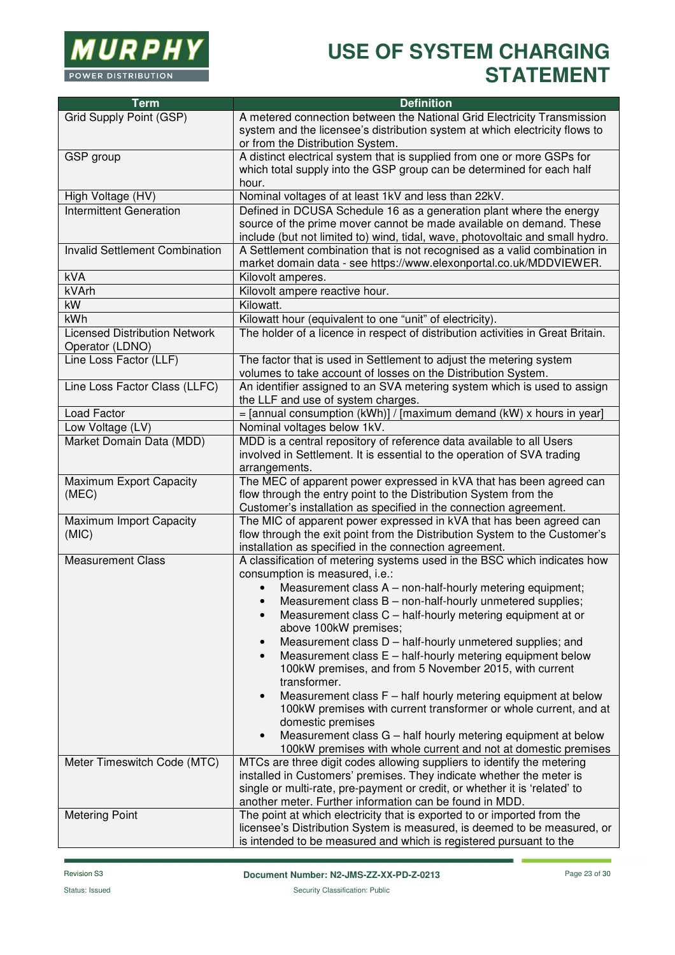

| <b>Term</b>                                             | <b>Definition</b>                                                                                                                           |
|---------------------------------------------------------|---------------------------------------------------------------------------------------------------------------------------------------------|
| Grid Supply Point (GSP)                                 | A metered connection between the National Grid Electricity Transmission                                                                     |
|                                                         | system and the licensee's distribution system at which electricity flows to                                                                 |
|                                                         | or from the Distribution System.                                                                                                            |
| GSP group                                               | A distinct electrical system that is supplied from one or more GSPs for                                                                     |
|                                                         | which total supply into the GSP group can be determined for each half                                                                       |
|                                                         | hour.                                                                                                                                       |
| High Voltage (HV)                                       | Nominal voltages of at least 1kV and less than 22kV.                                                                                        |
| <b>Intermittent Generation</b>                          | Defined in DCUSA Schedule 16 as a generation plant where the energy                                                                         |
|                                                         | source of the prime mover cannot be made available on demand. These                                                                         |
|                                                         | include (but not limited to) wind, tidal, wave, photovoltaic and small hydro.                                                               |
| Invalid Settlement Combination                          | A Settlement combination that is not recognised as a valid combination in                                                                   |
| kVA                                                     | market domain data - see https://www.elexonportal.co.uk/MDDVIEWER.<br>Kilovolt amperes.                                                     |
| kVArh                                                   | Kilovolt ampere reactive hour.                                                                                                              |
| kW                                                      | Kilowatt.                                                                                                                                   |
| <b>kWh</b>                                              |                                                                                                                                             |
|                                                         | Kilowatt hour (equivalent to one "unit" of electricity).<br>The holder of a licence in respect of distribution activities in Great Britain. |
| <b>Licensed Distribution Network</b><br>Operator (LDNO) |                                                                                                                                             |
| Line Loss Factor (LLF)                                  | The factor that is used in Settlement to adjust the metering system                                                                         |
|                                                         | volumes to take account of losses on the Distribution System.                                                                               |
| Line Loss Factor Class (LLFC)                           | An identifier assigned to an SVA metering system which is used to assign                                                                    |
|                                                         | the LLF and use of system charges.                                                                                                          |
| <b>Load Factor</b>                                      | $=$ [annual consumption (kWh)] / [maximum demand (kW) x hours in year]                                                                      |
| Low Voltage (LV)                                        | Nominal voltages below 1kV.                                                                                                                 |
| Market Domain Data (MDD)                                | MDD is a central repository of reference data available to all Users                                                                        |
|                                                         | involved in Settlement. It is essential to the operation of SVA trading                                                                     |
| Maximum Export Capacity                                 | arrangements.<br>The MEC of apparent power expressed in kVA that has been agreed can                                                        |
| (MEC)                                                   | flow through the entry point to the Distribution System from the                                                                            |
|                                                         | Customer's installation as specified in the connection agreement.                                                                           |
| Maximum Import Capacity                                 | The MIC of apparent power expressed in kVA that has been agreed can                                                                         |
| (MIC)                                                   | flow through the exit point from the Distribution System to the Customer's                                                                  |
|                                                         | installation as specified in the connection agreement.                                                                                      |
| <b>Measurement Class</b>                                | A classification of metering systems used in the BSC which indicates how                                                                    |
|                                                         | consumption is measured, i.e.:                                                                                                              |
|                                                         | Measurement class A - non-half-hourly metering equipment;                                                                                   |
|                                                         | Measurement class B - non-half-hourly unmetered supplies;                                                                                   |
|                                                         | Measurement class C - half-hourly metering equipment at or<br>$\bullet$                                                                     |
|                                                         | above 100kW premises;                                                                                                                       |
|                                                         | Measurement class D - half-hourly unmetered supplies; and<br>$\bullet$                                                                      |
|                                                         | Measurement class E - half-hourly metering equipment below<br>$\bullet$                                                                     |
|                                                         | 100kW premises, and from 5 November 2015, with current                                                                                      |
|                                                         | transformer.                                                                                                                                |
|                                                         | Measurement class F - half hourly metering equipment at below                                                                               |
|                                                         | 100kW premises with current transformer or whole current, and at                                                                            |
|                                                         | domestic premises<br>Measurement class G - half hourly metering equipment at below<br>$\bullet$                                             |
|                                                         | 100kW premises with whole current and not at domestic premises                                                                              |
| Meter Timeswitch Code (MTC)                             | MTCs are three digit codes allowing suppliers to identify the metering                                                                      |
|                                                         | installed in Customers' premises. They indicate whether the meter is                                                                        |
|                                                         | single or multi-rate, pre-payment or credit, or whether it is 'related' to                                                                  |
|                                                         | another meter. Further information can be found in MDD.                                                                                     |
| <b>Metering Point</b>                                   | The point at which electricity that is exported to or imported from the                                                                     |
|                                                         | licensee's Distribution System is measured, is deemed to be measured, or                                                                    |
|                                                         | is intended to be measured and which is registered pursuant to the                                                                          |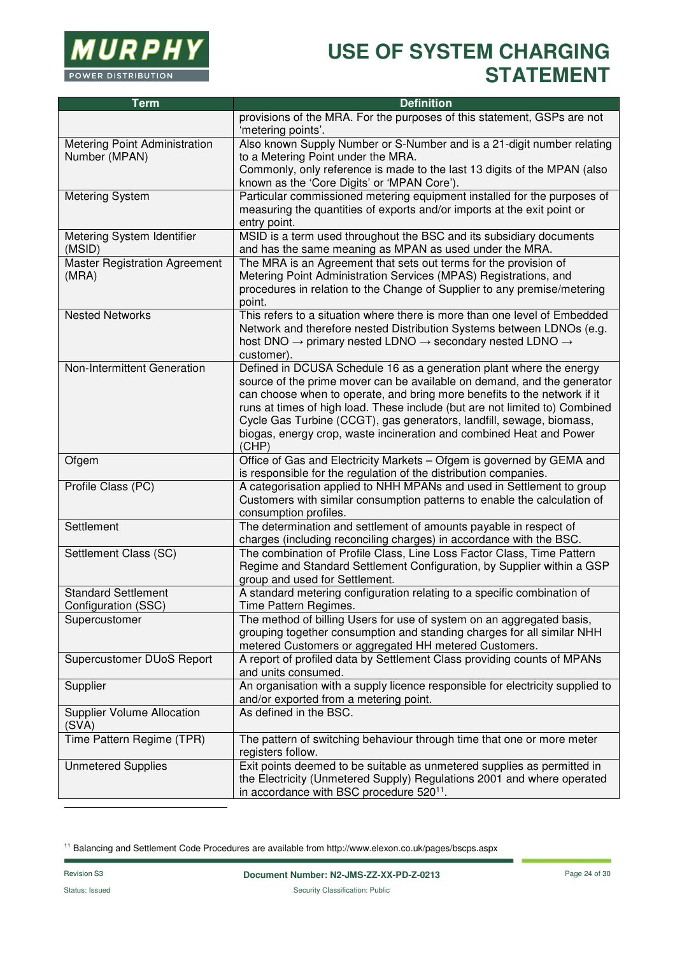

| <b>Term</b>                                       | <b>Definition</b>                                                                                                                                                                                                                                                                                                                                                                                                                                                 |
|---------------------------------------------------|-------------------------------------------------------------------------------------------------------------------------------------------------------------------------------------------------------------------------------------------------------------------------------------------------------------------------------------------------------------------------------------------------------------------------------------------------------------------|
|                                                   | provisions of the MRA. For the purposes of this statement, GSPs are not<br>'metering points'.                                                                                                                                                                                                                                                                                                                                                                     |
| Metering Point Administration<br>Number (MPAN)    | Also known Supply Number or S-Number and is a 21-digit number relating<br>to a Metering Point under the MRA.                                                                                                                                                                                                                                                                                                                                                      |
|                                                   | Commonly, only reference is made to the last 13 digits of the MPAN (also<br>known as the 'Core Digits' or 'MPAN Core').                                                                                                                                                                                                                                                                                                                                           |
| <b>Metering System</b>                            | Particular commissioned metering equipment installed for the purposes of<br>measuring the quantities of exports and/or imports at the exit point or<br>entry point.                                                                                                                                                                                                                                                                                               |
| Metering System Identifier<br>(MSID)              | MSID is a term used throughout the BSC and its subsidiary documents<br>and has the same meaning as MPAN as used under the MRA.                                                                                                                                                                                                                                                                                                                                    |
| <b>Master Registration Agreement</b><br>(MRA)     | The MRA is an Agreement that sets out terms for the provision of<br>Metering Point Administration Services (MPAS) Registrations, and<br>procedures in relation to the Change of Supplier to any premise/metering<br>point.                                                                                                                                                                                                                                        |
| <b>Nested Networks</b>                            | This refers to a situation where there is more than one level of Embedded<br>Network and therefore nested Distribution Systems between LDNOs (e.g.<br>host DNO $\rightarrow$ primary nested LDNO $\rightarrow$ secondary nested LDNO $\rightarrow$<br>customer).                                                                                                                                                                                                  |
| Non-Intermittent Generation                       | Defined in DCUSA Schedule 16 as a generation plant where the energy<br>source of the prime mover can be available on demand, and the generator<br>can choose when to operate, and bring more benefits to the network if it<br>runs at times of high load. These include (but are not limited to) Combined<br>Cycle Gas Turbine (CCGT), gas generators, landfill, sewage, biomass,<br>biogas, energy crop, waste incineration and combined Heat and Power<br>(CHP) |
| Ofgem                                             | Office of Gas and Electricity Markets - Ofgem is governed by GEMA and<br>is responsible for the regulation of the distribution companies.                                                                                                                                                                                                                                                                                                                         |
| Profile Class (PC)                                | A categorisation applied to NHH MPANs and used in Settlement to group<br>Customers with similar consumption patterns to enable the calculation of<br>consumption profiles.                                                                                                                                                                                                                                                                                        |
| Settlement                                        | The determination and settlement of amounts payable in respect of<br>charges (including reconciling charges) in accordance with the BSC.                                                                                                                                                                                                                                                                                                                          |
| Settlement Class (SC)                             | The combination of Profile Class, Line Loss Factor Class, Time Pattern<br>Regime and Standard Settlement Configuration, by Supplier within a GSP<br>group and used for Settlement.                                                                                                                                                                                                                                                                                |
| <b>Standard Settlement</b><br>Configuration (SSC) | A standard metering configuration relating to a specific combination of<br>Time Pattern Regimes.                                                                                                                                                                                                                                                                                                                                                                  |
| Supercustomer                                     | The method of billing Users for use of system on an aggregated basis,<br>grouping together consumption and standing charges for all similar NHH<br>metered Customers or aggregated HH metered Customers.                                                                                                                                                                                                                                                          |
| Supercustomer DUoS Report                         | A report of profiled data by Settlement Class providing counts of MPANs<br>and units consumed.                                                                                                                                                                                                                                                                                                                                                                    |
| Supplier                                          | An organisation with a supply licence responsible for electricity supplied to<br>and/or exported from a metering point.                                                                                                                                                                                                                                                                                                                                           |
| <b>Supplier Volume Allocation</b><br>(SVA)        | As defined in the BSC.                                                                                                                                                                                                                                                                                                                                                                                                                                            |
| Time Pattern Regime (TPR)                         | The pattern of switching behaviour through time that one or more meter<br>registers follow.                                                                                                                                                                                                                                                                                                                                                                       |
| <b>Unmetered Supplies</b>                         | Exit points deemed to be suitable as unmetered supplies as permitted in<br>the Electricity (Unmetered Supply) Regulations 2001 and where operated<br>in accordance with BSC procedure 520 <sup>11</sup> .                                                                                                                                                                                                                                                         |

11 Balancing and Settlement Code Procedures are available from http://www.elexon.co.uk/pages/bscps.aspx

l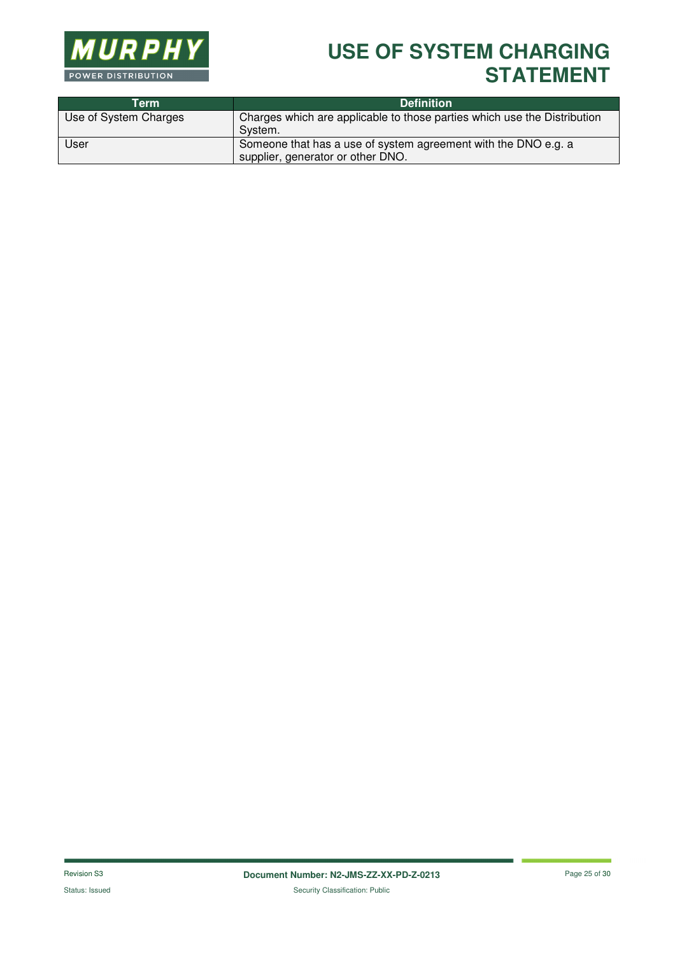

| Term                  | <b>Definition</b>                                                                                   |
|-----------------------|-----------------------------------------------------------------------------------------------------|
| Use of System Charges | Charges which are applicable to those parties which use the Distribution<br>System.                 |
| User                  | Someone that has a use of system agreement with the DNO e.g. a<br>supplier, generator or other DNO. |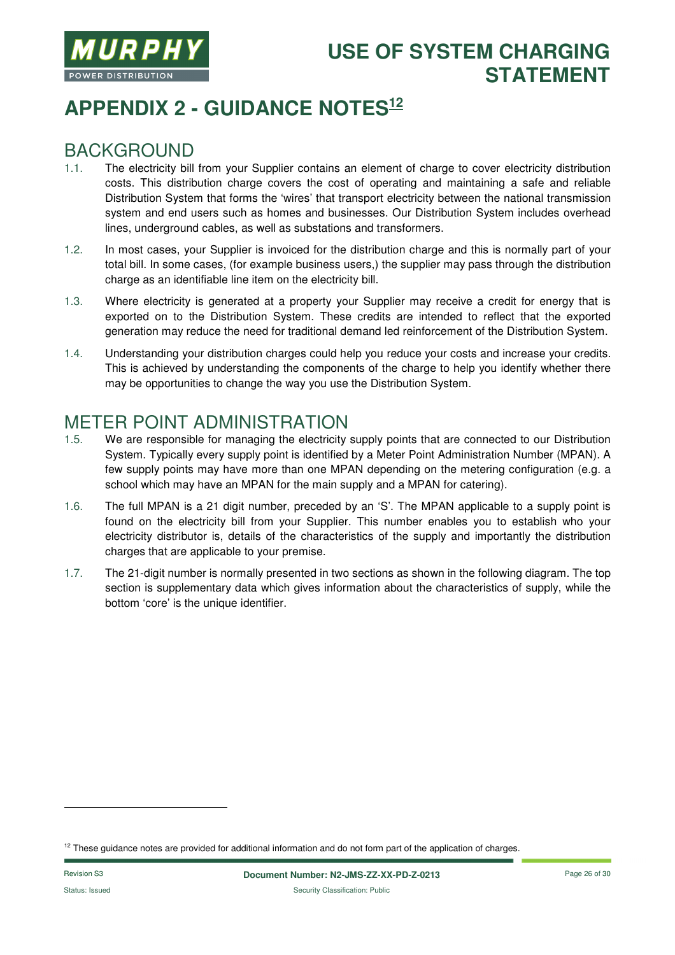![](_page_25_Picture_0.jpeg)

# **APPENDIX 2 - GUIDANCE NOTES<sup>12</sup>**

#### BACKGROUND

- 1.1. The electricity bill from your Supplier contains an element of charge to cover electricity distribution costs. This distribution charge covers the cost of operating and maintaining a safe and reliable Distribution System that forms the 'wires' that transport electricity between the national transmission system and end users such as homes and businesses. Our Distribution System includes overhead lines, underground cables, as well as substations and transformers.
- 1.2. In most cases, your Supplier is invoiced for the distribution charge and this is normally part of your total bill. In some cases, (for example business users,) the supplier may pass through the distribution charge as an identifiable line item on the electricity bill.
- 1.3. Where electricity is generated at a property your Supplier may receive a credit for energy that is exported on to the Distribution System. These credits are intended to reflect that the exported generation may reduce the need for traditional demand led reinforcement of the Distribution System.
- 1.4. Understanding your distribution charges could help you reduce your costs and increase your credits. This is achieved by understanding the components of the charge to help you identify whether there may be opportunities to change the way you use the Distribution System.

#### METER POINT ADMINISTRATION

- 1.5. We are responsible for managing the electricity supply points that are connected to our Distribution System. Typically every supply point is identified by a Meter Point Administration Number (MPAN). A few supply points may have more than one MPAN depending on the metering configuration (e.g. a school which may have an MPAN for the main supply and a MPAN for catering).
- 1.6. The full MPAN is a 21 digit number, preceded by an 'S'. The MPAN applicable to a supply point is found on the electricity bill from your Supplier. This number enables you to establish who your electricity distributor is, details of the characteristics of the supply and importantly the distribution charges that are applicable to your premise.
- 1.7. The 21-digit number is normally presented in two sections as shown in the following diagram. The top section is supplementary data which gives information about the characteristics of supply, while the bottom 'core' is the unique identifier.

l

 $12$  These guidance notes are provided for additional information and do not form part of the application of charges.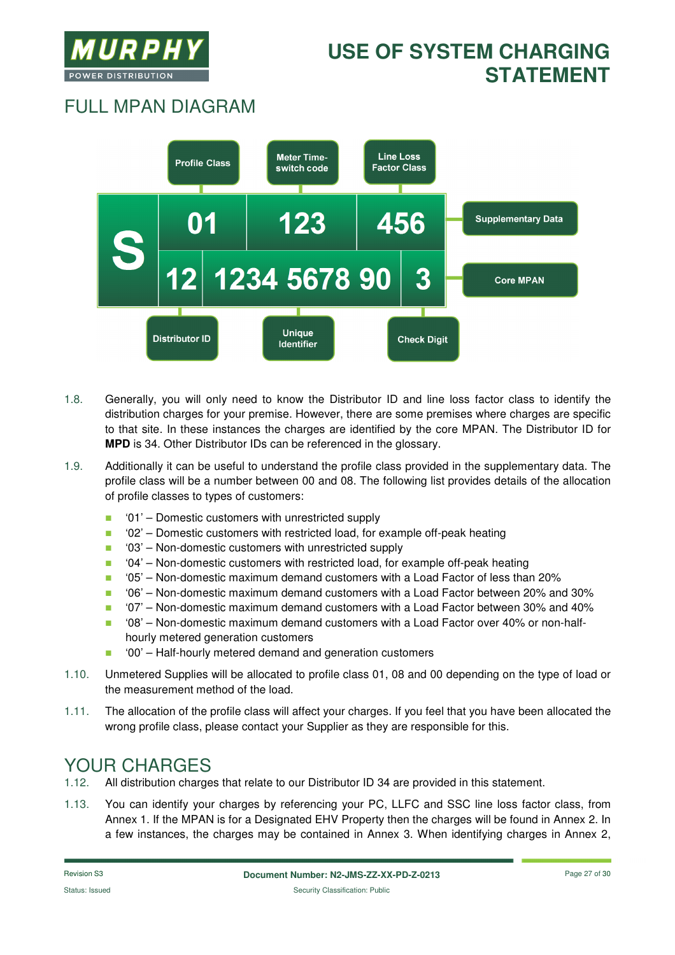![](_page_26_Picture_0.jpeg)

# FULL MPAN DIAGRAM

![](_page_26_Figure_3.jpeg)

- 1.8. Generally, you will only need to know the Distributor ID and line loss factor class to identify the distribution charges for your premise. However, there are some premises where charges are specific to that site. In these instances the charges are identified by the core MPAN. The Distributor ID for **MPD** is 34. Other Distributor IDs can be referenced in the glossary.
- 1.9. Additionally it can be useful to understand the profile class provided in the supplementary data. The profile class will be a number between 00 and 08. The following list provides details of the allocation of profile classes to types of customers:
	- '01' Domestic customers with unrestricted supply
	- '02' Domestic customers with restricted load, for example off-peak heating
	- '03' Non-domestic customers with unrestricted supply
	- '04' Non-domestic customers with restricted load, for example off-peak heating
	- '05' Non-domestic maximum demand customers with a Load Factor of less than 20%
	- '06' Non-domestic maximum demand customers with a Load Factor between 20% and 30%
	- $\blacksquare$  '07' Non-domestic maximum demand customers with a Load Factor between 30% and 40%
	- '08' Non-domestic maximum demand customers with a Load Factor over 40% or non-halfhourly metered generation customers
	- '00' Half-hourly metered demand and generation customers
- 1.10. Unmetered Supplies will be allocated to profile class 01, 08 and 00 depending on the type of load or the measurement method of the load.
- 1.11. The allocation of the profile class will affect your charges. If you feel that you have been allocated the wrong profile class, please contact your Supplier as they are responsible for this.

### YOUR CHARGES

- 1.12. All distribution charges that relate to our Distributor ID 34 are provided in this statement.
- 1.13. You can identify your charges by referencing your PC, LLFC and SSC line loss factor class, from Annex 1. If the MPAN is for a Designated EHV Property then the charges will be found in Annex 2. In a few instances, the charges may be contained in Annex 3. When identifying charges in Annex 2,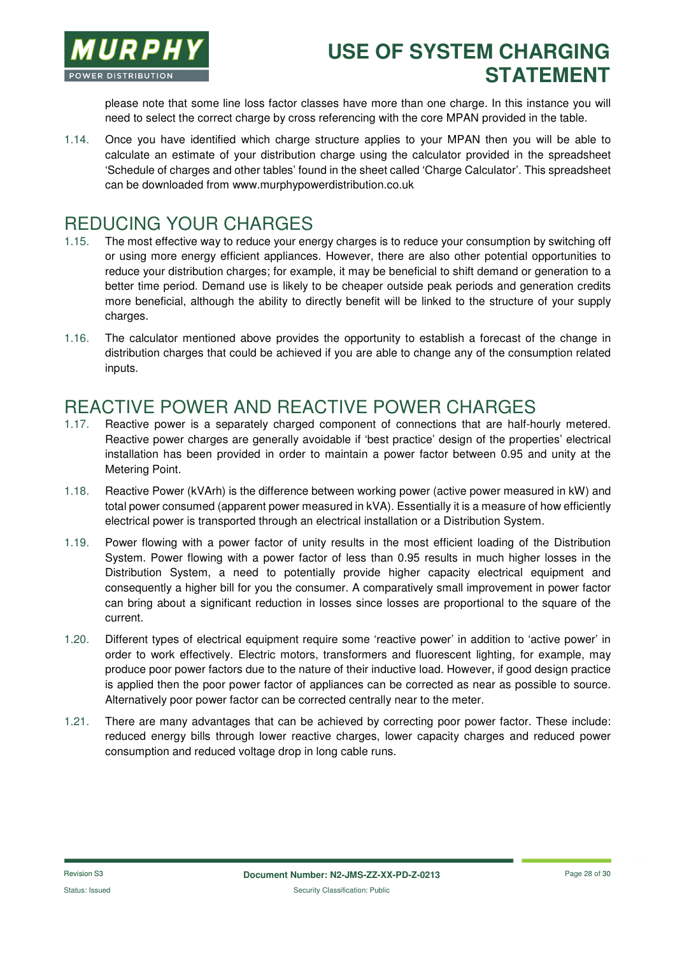![](_page_27_Picture_0.jpeg)

please note that some line loss factor classes have more than one charge. In this instance you will need to select the correct charge by cross referencing with the core MPAN provided in the table.

1.14. Once you have identified which charge structure applies to your MPAN then you will be able to calculate an estimate of your distribution charge using the calculator provided in the spreadsheet 'Schedule of charges and other tables' found in the sheet called 'Charge Calculator'. This spreadsheet can be downloaded from www.murphypowerdistribution.co.uk

#### REDUCING YOUR CHARGES

- 1.15. The most effective way to reduce your energy charges is to reduce your consumption by switching off or using more energy efficient appliances. However, there are also other potential opportunities to reduce your distribution charges; for example, it may be beneficial to shift demand or generation to a better time period. Demand use is likely to be cheaper outside peak periods and generation credits more beneficial, although the ability to directly benefit will be linked to the structure of your supply charges.
- 1.16. The calculator mentioned above provides the opportunity to establish a forecast of the change in distribution charges that could be achieved if you are able to change any of the consumption related inputs.

#### REACTIVE POWER AND REACTIVE POWER CHARGES

- 1.17. Reactive power is a separately charged component of connections that are half-hourly metered. Reactive power charges are generally avoidable if 'best practice' design of the properties' electrical installation has been provided in order to maintain a power factor between 0.95 and unity at the Metering Point.
- 1.18. Reactive Power (kVArh) is the difference between working power (active power measured in kW) and total power consumed (apparent power measured in kVA). Essentially it is a measure of how efficiently electrical power is transported through an electrical installation or a Distribution System.
- 1.19. Power flowing with a power factor of unity results in the most efficient loading of the Distribution System. Power flowing with a power factor of less than 0.95 results in much higher losses in the Distribution System, a need to potentially provide higher capacity electrical equipment and consequently a higher bill for you the consumer. A comparatively small improvement in power factor can bring about a significant reduction in losses since losses are proportional to the square of the current.
- 1.20. Different types of electrical equipment require some 'reactive power' in addition to 'active power' in order to work effectively. Electric motors, transformers and fluorescent lighting, for example, may produce poor power factors due to the nature of their inductive load. However, if good design practice is applied then the poor power factor of appliances can be corrected as near as possible to source. Alternatively poor power factor can be corrected centrally near to the meter.
- 1.21. There are many advantages that can be achieved by correcting poor power factor. These include: reduced energy bills through lower reactive charges, lower capacity charges and reduced power consumption and reduced voltage drop in long cable runs.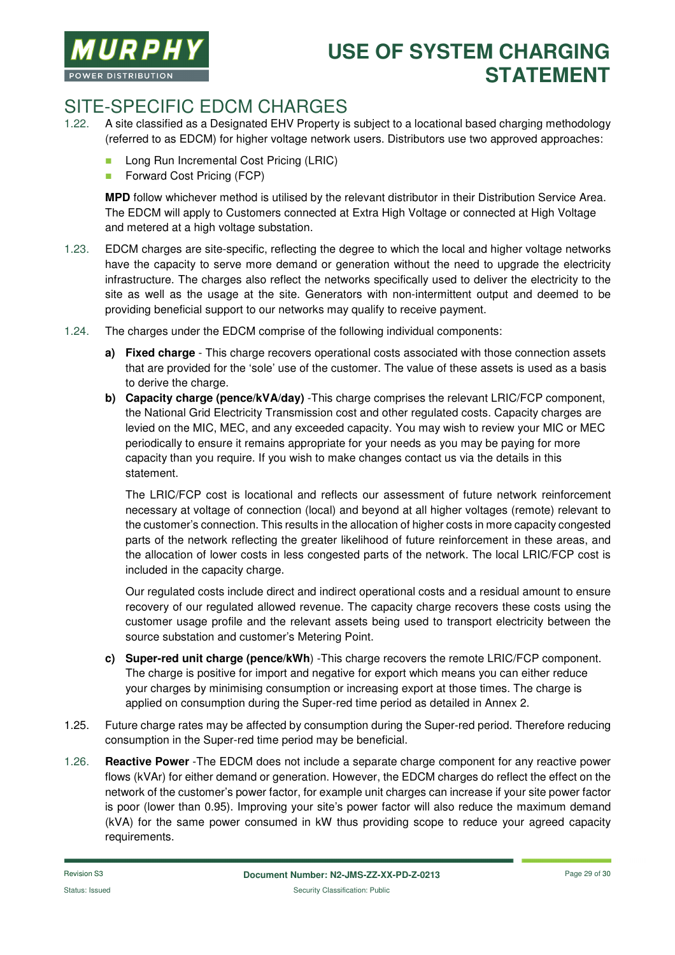![](_page_28_Picture_0.jpeg)

### SITE-SPECIFIC EDCM CHARGES

- 1.22. A site classified as a Designated EHV Property is subject to a locational based charging methodology (referred to as EDCM) for higher voltage network users. Distributors use two approved approaches:
	- **Long Run Incremental Cost Pricing (LRIC)**
	- **Forward Cost Pricing (FCP)**

**MPD** follow whichever method is utilised by the relevant distributor in their Distribution Service Area. The EDCM will apply to Customers connected at Extra High Voltage or connected at High Voltage and metered at a high voltage substation.

- 1.23. EDCM charges are site-specific, reflecting the degree to which the local and higher voltage networks have the capacity to serve more demand or generation without the need to upgrade the electricity infrastructure. The charges also reflect the networks specifically used to deliver the electricity to the site as well as the usage at the site. Generators with non-intermittent output and deemed to be providing beneficial support to our networks may qualify to receive payment.
- 1.24. The charges under the EDCM comprise of the following individual components:
	- **a) Fixed charge**  This charge recovers operational costs associated with those connection assets that are provided for the 'sole' use of the customer. The value of these assets is used as a basis to derive the charge.
	- **b) Capacity charge (pence/kVA/day)** -This charge comprises the relevant LRIC/FCP component, the National Grid Electricity Transmission cost and other regulated costs. Capacity charges are levied on the MIC, MEC, and any exceeded capacity. You may wish to review your MIC or MEC periodically to ensure it remains appropriate for your needs as you may be paying for more capacity than you require. If you wish to make changes contact us via the details in this statement.

The LRIC/FCP cost is locational and reflects our assessment of future network reinforcement necessary at voltage of connection (local) and beyond at all higher voltages (remote) relevant to the customer's connection. This results in the allocation of higher costs in more capacity congested parts of the network reflecting the greater likelihood of future reinforcement in these areas, and the allocation of lower costs in less congested parts of the network. The local LRIC/FCP cost is included in the capacity charge.

Our regulated costs include direct and indirect operational costs and a residual amount to ensure recovery of our regulated allowed revenue. The capacity charge recovers these costs using the customer usage profile and the relevant assets being used to transport electricity between the source substation and customer's Metering Point.

- **c) Super-red unit charge (pence/kWh**) -This charge recovers the remote LRIC/FCP component. The charge is positive for import and negative for export which means you can either reduce your charges by minimising consumption or increasing export at those times. The charge is applied on consumption during the Super-red time period as detailed in Annex 2.
- 1.25. Future charge rates may be affected by consumption during the Super-red period. Therefore reducing consumption in the Super-red time period may be beneficial.
- 1.26. **Reactive Power** -The EDCM does not include a separate charge component for any reactive power flows (kVAr) for either demand or generation. However, the EDCM charges do reflect the effect on the network of the customer's power factor, for example unit charges can increase if your site power factor is poor (lower than 0.95). Improving your site's power factor will also reduce the maximum demand (kVA) for the same power consumed in kW thus providing scope to reduce your agreed capacity requirements.